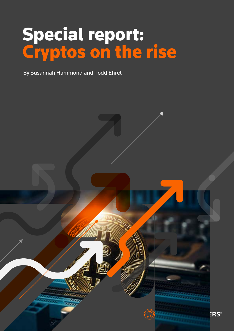# Special report: Cryptos on the rise

By Susannah Hammond and Todd Ehret

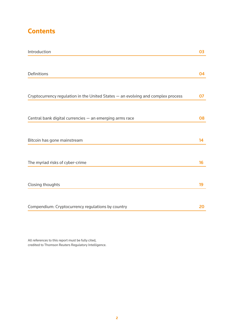## **Contents**

| Introduction                                                                     | 03 |
|----------------------------------------------------------------------------------|----|
|                                                                                  |    |
| Definitions                                                                      | 04 |
|                                                                                  |    |
| Cryptocurrency regulation in the United States - an evolving and complex process | 07 |
|                                                                                  |    |
| Central bank digital currencies - an emerging arms race                          | 08 |
|                                                                                  |    |
| Bitcoin has gone mainstream                                                      |    |
|                                                                                  |    |
| The myriad risks of cyber-crime                                                  | 16 |
|                                                                                  |    |
| Closing thoughts                                                                 | 19 |
|                                                                                  |    |
| Compendium: Cryptocurrency regulations by country                                | 20 |

All references to this report must be fully cited, credited to Thomson Reuters Regulatory Intelligence.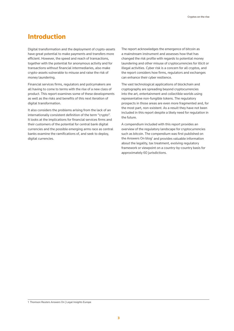### **Introduction**

Digital transformation and the deployment of crypto-assets have great potential to make payments and transfers more efficient. However, the speed and reach of transactions, together with the potential for anonymous activity and for transactions without financial intermediaries, also make crypto-assets vulnerable to misuse and raise the risk of money laundering.

Financial services firms, regulators and policymakers are all having to come to terms with the rise of a new class of product. This report examines some of these developments as well as the risks and benefits of this next iteration of digital transformation.

It also considers the problems arising from the lack of an internationally consistent definition of the term "crypto". It looks at the implications for financial services firms and their customers of the potential for central bank digital currencies and the possible emerging arms race as central banks examine the ramifications of, and seek to deploy, digital currencies.

The report acknowledges the emergence of bitcoin as a mainstream instrument and assesses how that has changed the risk profile with regards to potential money laundering and other misuse of cryptocurrencies for illicit or illegal activities. Cyber risk is a concern for all cryptos, and the report considers how firms, regulators and exchanges can enhance their cyber resilience.

The vast technological applications of blockchain and cryptography are spreading beyond cryptocurrencies into the art, entertainment and collectible worlds using representative non-fungible tokens. The regulatory prospects in those areas are even more fragmented and, for the most part, non-existent. As a result they have not been included in this report despite a likely need for regulation in the future.

A compendium included with this report provides an overview of the regulatory landscape for cryptocurrencies such as bitcoin. The compendium was first published on the Answers On blog<sup>1</sup> and provides valuable information about the legality, tax treatment, evolving regulatory framework or viewpoint on a country-by-country basis for approximately 60 jurisdictions.

<sup>1</sup> Thomson Reuters Answers On | Legal Insights Europe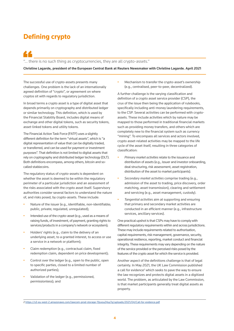## **Defining crypto**

"… there is no such thing as cryptocurrencies, they are all crypto-assets."

**Christine Lagarde, president of the European Central Bank at Reuters Newsmaker with Christine Lagarde. April 2021**

The successful use of crypto-assets presents many challenges. One problem is the lack of an internationally agreed definition of "crypto", or agreement on where cryptos sit with regards to regulatory jurisdiction.

In broad terms a crypto asset is a type of digital asset that depends primarily on cryptography and distributed ledger or similar technology. This definition, which is used by the Financial Stability Board, includes digital means of exchange and other digital tokens, such as security tokens, asset-linked tokens and utility tokens.

The Financial Action Task Force (FATF) uses a slightly different definition for the term "virtual assets", which is "a digital representation of value that can be digitally traded, or transferred, and can be used for payment or investment purposes". That definition is not limited to digital assets that rely on cryptography and distributed ledger technology (DLT). Both definitions encompass, among others, bitcoin and socalled stablecoins.

The regulatory status of crypto-assets is dependent on whether the asset is deemed to be within the regulatory perimeter of a particular jurisdiction and an assessment of the risks associated with the crypto asset itself. Supervisory authorities consider several factors to understand the nature of, and risks posed, by crypto-assets. These include:

- Nature of the issuer (e.g., identifiable, non-identifiable; public, private; regulated, unregulated);
- Intended use of the crypto-asset (e.g., used as a means of raising funds, of investment, of payment, granting rights to services/products in a company's network or ecosystem);
- Holders' rights (e.g., claim to the delivery of an underlying asset, to a granted interest, to access or use a service in a network or platform);
- Claim redemption (e.g., contractual claim, fixed redemption claim, dependent on price development);
- Control over the ledger (e.g., open to the public, open to specific parties, closed to a limited number of authorized parties);
- Validation of the ledger (e.g., permissioned, permissionless); and

• Mechanism to transfer the crypto-asset's ownership (e.g., centralised, peer-to-peer, decentralized).

A further challenge is the varying classification and definition of a crypto asset service provider (CSP), the crux of the issue then being the application of rulebooks, specifically including anti-money laundering requirements, to the CSP. Several activities can be performed with cryptoassets. These include activities which by nature may be mapped to those performed in traditional financial markets such as providing money transfers, and others which are completely new to the financial system such as currency "mining". To encompass all services and actors involved, crypto asset-related activities may be mapped to the life cycle of the asset itself, resulting in three categories of classification:

- *• Primary market activities* relate to the issuance and distribution of assets (e.g., issuer and investor onboarding, deal structuring, risk assessment, asset registration, distribution of the asset to market participants).
- *Secondary market activities* comprise trading (e.g., admission of the asset to trading, price discovery, order matching, asset transmission), clearing and settlement and servicing (e.g., asset management, custody).
- *Tangential activities* aim at supporting and ensuring that primary and secondary market activities are conducted in an efficient manner (e.g., infrastructure services, ancillary services).

One practical upshot is that CSPs may have to comply with different regulatory requirements within and across jurisdictions. These may include requirements related to authorisation, capital requirements, risk management, governance, security, operational resilience, reporting, market conduct and financial integrity. These requirements may vary depending on the nature of the service provided or the perceived risks posed by the features of the crypto asset for which the service is provided.

Another aspect of the definitions challenge is that of legal certainty. In May 2021, the UK Law Commission published a call for evidence<sup>2</sup> which seeks to pave the way to ensure the law recognizes and protects digital assets in a digitized world. The problem, as articulated by the Law Commission, is that market participants generally treat digital assets as property.

<sup>2</sup> <https://s3-eu-west-2.amazonaws.com/lawcom-prod-storage-11jsxou24uy7q/uploads/2021/04/Call-for-evidence.pdf>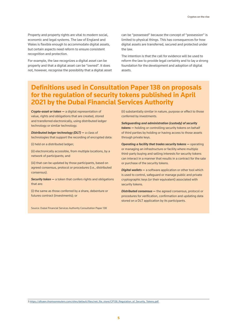Property and property rights are vital to modern social, economic and legal systems. The law of England and Wales is flexible enough to accommodate digital assets, but certain aspects need reform to ensure consistent recognition and protection.

For example, the law recognizes a digital asset can be property and that a digital asset can be "owned". It does not, however, recognise the possibility that a digital asset can be "possessed" because the concept of "possession" is limited to physical things. This has consequences for how digital assets are transferred, secured and protected under the law.

The intention is that the call for evidence will be used to reform the law to provide legal certainty and to lay a strong foundation for the development and adoption of digital assets.

### **Definitions used in Consultation Paper 138 on proposals for the regulation of security tokens published in April 2021 by the Dubai Financial Services Authority**

*Crypto-asset or token —* a digital representation of value, rights and obligations that are created, stored and transferred electronically, using distributed ledger technology or similar technology.

*Distributed ledger technology (DLT) —* a class of technologies that support the recording of encrypted data:

(i) held on a distributed ledger;

(ii) electronically accessible, from multiple locations, by a network of participants; and

(iii) that can be updated by those participants, based on agreed consensus, protocol or procedures (i.e., distributed consensus).

*Security token —* a token that confers rights and obligations that are:

(i) the same as those conferred by a share, debenture or futures contract (investments); or

Source: Dubai Financial Services Authority Consultation Paper 138

(ii) substantially similar in nature, purpose or effect to those conferred by investments.

*Safeguarding and administration (custody) of security tokens —* holding or controlling security tokens on behalf of third parties by holding or having access to those assets through private keys.

*Operating a facility that trades security tokens – operating* or managing an infrastructure or facility where multiple third-party buying and selling interests for security tokens can interact in a manner that results in a contract for the sale or purchase of the security tokens.

*Digital wallets —* a software application or other tool which is used to control, safeguard or manage public and private cryptographic keys (or their equivalent) associated with security tokens.

*Distributed consensus —* the agreed consensus, protocol or procedures for verification, confirmation and updating data stored on a DLT application by its participants.

3 https://dfsaen.thomsonreuters.com/sites/default/files/net\_file\_store/CP138\_Regulation\_of\_Security\_Tokens.pdf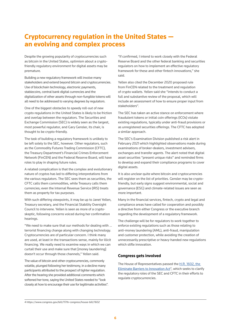### **Cryptocurrency regulation in the United States an evolving and complex process**

Despite the growing popularity of cryptocurrencies such as bitcoin in the United States, optimism about a cryptofriendly regulatory environment for digital assets may be premature.

Building a new regulatory framework will involve many stakeholders and extend beyond bitcoin and cryptocurrencies. Use of blockchain technology, electronic payments, stablecoins, central bank digital currencies and the digitalization of other assets through non-fungible tokens will all need to be addressed to varying degrees by regulators.

One of the biggest obstacles to speedy roll-out of new crypto regulations in the United States is likely to be friction and overlap between the regulators. The Securities and Exchange Commission (SEC) is widely seen as the largest, most powerful regulator, and Gary Gensler, its chair, is thought to be crypto-friendly.

The task of building a regulatory framework is unlikely to be left solely to the SEC, however. Other regulators, such as the Commodity Futures Trading Commission (CFTC), the Treasury Department's Financial Crimes Enforcement Network (FinCEN) and the Federal Reserve Board, will have roles to play in shaping future rules.

A related complication is that the complex and evolutionary nature of cryptos has led to differing interpretations from the various regulators. The SEC sees them as securities, the CFTC calls them commodities, while Treasury calls them currencies; even the Internal Revenue Service (IRS) treats them as property for tax purposes.

With such differing viewpoints, it may be up to Janet Yellen, Treasury secretary, and the Financial Stability Oversight Council to intervene. Yellen is seen as more of a cryptoskeptic, following concerns voiced during her confirmation hearings.

"We need to make sure that our methods for dealing with ... terrorist financing change along with changing technology. Cryptocurrencies are of particular concern. I think many are used, at least in the transactions sense, mainly for illicit financing. We really need to examine ways in which we can curtail their use and make sure that [money laundering] doesn't occur through those channels," Yellen said.

The value of bitcoin and other cryptocurrencies, commonly volatile, plunged following her testimony, in a decline many participants attributed to the prospect of tighter regulation. After the hearing she provided additional comments which softened her tone, saying the United States needed to "look closely at how to encourage their use for legitimate activities".

"If confirmed, I intend to work closely with the Federal Reserve Board and the other federal banking and securities regulators on how to implement an effective regulatory framework for these and other fintech innovations," she said.

Yellen also cited the December 2020 proposed rule from FinCEN related to the treatment and regulation of crypto wallets. Yellen said she "intends to conduct a full and substantive review of the proposal, which will include an assessment of how to ensure proper input from stakeholders".

The SEC has taken an active stance on enforcement where fraudulent tokens or initial coin offerings (ICOs) violate existing regulations, typically under anti-fraud provisions or as unregistered securities offerings. The CFTC has adopted a similar approach.

The SEC's Examination Division published a risk alert in February 2021 which highlighted observations made during examinations of broker-dealers, investment advisers, exchanges and transfer agents. The alert noted that digital asset securities "present unique risks" and reminded firms to develop and expand their compliance programs to cover digital assets.

It is also unclear quite where bitcoin and cryptocurrencies will register on the list of priorities. Gensler may be cryptofriendly, but early signs suggest environmental, social and governance (ESG) and climate-related issues are seen as more important.

Many in the financial services, fintech, crypto and legal and compliance areas have called for cooperation and possibly a directive from either Congress or the executive branch regarding the development of a regulatory framework.

The challenge will be for regulators to work together to enforce existing regulations such as those relating to anti-money laundering (AML), anti-fraud, manipulation and customer protection, while avoiding the creation of unnecessarily prescriptive or heavy-handed new regulations which stifle innovation.

#### **Congress gets involved**

The House of Representatives passed the H.R. 1602, the [Eliminate Barriers to Innovation Act](http://H.R. 1602, the Eliminate Barriers to Innovation Act)<sup>4</sup>, which seeks to clarify the regulatory roles of the SEC and CFTC in their efforts to regulate cryptocurrencies.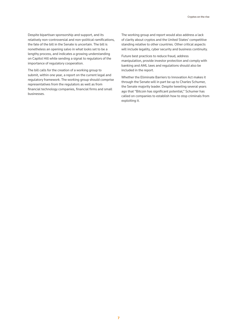Despite bipartisan sponsorship and support, and its relatively non-controversial and non-political ramifications, the fate of the bill in the Senate is uncertain. The bill is nonetheless an opening salvo in what looks set to be a lengthy process, and indicates a growing understanding on Capitol Hill while sending a signal to regulators of the importance of regulatory cooperation.

The bill calls for the creation of a working group to submit, within one year, a report on the current legal and regulatory framework. The working group should comprise representatives from the regulators as well as from financial technology companies, financial firms and small businesses.

The working group and report would also address a lack of clarity about cryptos and the United States' competitive standing relative to other countries. Other critical aspects will include legality, cyber security and business continuity.

Future best practices to reduce fraud, address manipulation, provide investor protection and comply with banking and AML laws and regulations should also be included in the report.

Whether the Eliminate Barriers to Innovation Act makes it through the Senate will in part be up to Charles Schumer, the Senate majority leader. Despite tweeting several years ago that "Bitcoin has significant potential," Schumer has called on companies to establish how to stop criminals from exploiting it.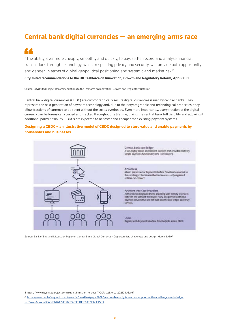## **Central bank digital currencies — an emerging arms race**

"The ability, ever more cheaply, smoothly and quickly, to pay, settle, record and analyse financial transactions through technology, whilst respecting privacy and security, will provide both opportunity and danger, in terms of global geopolitical positioning and systemic and market risk."

#### **CityUnited recommendations to the UK Taskforce on Innovation, Growth and Regulatory Reform, April 2021**

Source: CityUnited Project Recommendations to the Taskforce on Innovation, Growth and Regulatory Reform5

Central bank digital currencies (CBDC) are cryptographically secure digital currencies issued by central banks. They represent the next generation of payment technology and, due to their cryptographic and technological properties, they allow fractions of currency to be spent without the costly overheads. Even more importantly, every fraction of the digital currency can be forensically traced and tracked throughout its lifetime, giving the central bank full visibility and allowing it additional policy flexibility. CBDCs are expected to be faster and cheaper than existing payment systems.

### **Designing a CBDC – an illustrative model of CBDC designed to store value and enable payments by households and businesses.**



Source: Bank of England Discussion Paper on Central Bank Digital Currency – Opportunities, challenges and design. March 2020<sup>6</sup>

5 https://www.cityunitedproject.com/cup\_submission\_to\_govt\_TIGGR\_taskforce\_20210406.pdf

6 [https://www.bankofengland.co.uk/-/media/boe/files/paper/2020/central-bank-digital-currency-opportunities-challenges-and-design.]( https://www.bankofengland.co.uk/-/media/boe/files/paper/2020/central-bank-digital-currency-opportunities-challenges-and-design.pdf?la=en&hash=DFAD18646A77C00772AF1C5B18E63E71F68E4593  ) [pdf?la=en&hash=DFAD18646A77C00772AF1C5B18E63E71F68E4593]( https://www.bankofengland.co.uk/-/media/boe/files/paper/2020/central-bank-digital-currency-opportunities-challenges-and-design.pdf?la=en&hash=DFAD18646A77C00772AF1C5B18E63E71F68E4593  )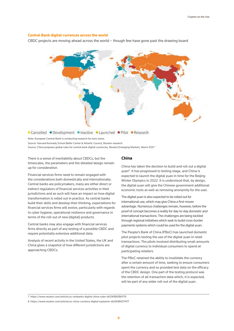#### **Central Bank digital currences across the world**

CBDC projects are moving ahead across the world – though few have gone past the drawing board



Note: European Central Bank is conducting research for euro zones.

Source: Harvard Kennedy School Belfer Center & Atlantic Council, Reuters research

Source: China proposes global rules for central bank digital currencies, Reuters Emerging Markets, March 2021<sup>7</sup>

There is a sense of inevitability about CBDCs, but the timescales, the parameters and the detailed design remain up for consideration.

Financial services firms need to remain engaged with the considerations both domestically and internationally. Central banks are policymakers; many are either direct or indirect regulators of financial services activities in their jurisdictions and as such will have an impact on how digital transformation is rolled out in practice. As central banks build their skills and develop their thinking, expectations for financial services firms will evolve, particularly with regards to cyber hygiene, operational resilience and governance in terms of the roll-out of new (digital) products.

Central banks may also engage with financial services firms directly as part of any testing of a possible CBDC and require potentially extensive additional data.

Analysis of recent activity in the United States, the UK and China gives a snapshot of how different jurisdictions are approaching CBDCs.

### **China**

China has taken the decision to build and roll out a digital yuan<sup>8</sup>. It has progressed to testing stage, and China is expected to launch the digital yuan in time for the Beijing Winter Olympics in 2022. It is understood that, by design, the digital yuan will give the Chinese government additional economic tools as well as removing anonymity for the user.

The digital yuan is also expected to be rolled out for international use, which may give China a first-mover advantage. Numerous challenges remain, however, before the proof of concept becomes a reality for day-to-day domestic and international transactions. The challenges are being tackled through regional initiatives which seek to build cross-border payments systems which could be used for the digital yuan.

The People's Bank of China (PBoC) has launched domestic pilot projects testing the use of the digital yuan in retail transactions. The pilots involved distributing small amounts of digital currency to individual consumers to spend at participating retailers.

The PBoC retained the ability to invalidate the currency after a certain amount of time, seeking to ensure consumers spent the currency and so provided test data on the efficacy of the CBDC design. One part of the testing protocol was the retention of all transaction data which, it is expected, will be part of any wider roll-out of the digital yuan.

7 https://www.reuters.com/article/us-cenbanks-digital-china-rules-idUSKBN2BH1TA

8 https://www.reuters.com/article/us-china-currency-digital-explainer-idUSKBN27411T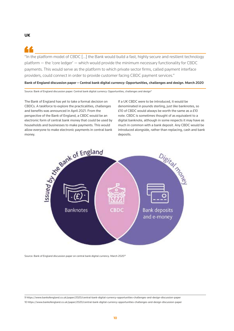### **UK**

"In the platform model of CBDC […] the Bank would build a fast, highly secure and resilient technology platform — the 'core ledger' — which would provide the minimum necessary functionality for CBDC payments. This would serve as the platform to which private sector firms, called payment interface providers, could connect in order to provide customer facing CBDC payment services."

#### **Bank of England discussion paper – Central bank digital currency: Opportunities, challenges and design. March 2020**

Source: Bank of England discussion paper: Central bank digital currency: Opportunities, challenges and design<sup>9</sup>

The Bank of England has yet to take a formal decision on CBDCs. A taskforce to explore the practicalities, challenges and benefits was announced in April 2021. From the perspective of the Bank of England, a CBDC would be an electronic form of central bank money that could be used by allow everyone to make electronic payments in central bank money.

If a UK CBDC were to be introduced, it would be denominated in pounds sterling, just like banknotes, so £10 of CBDC would always be worth the same as a £10 note. CBDC is sometimes thought of as equivalent to a digital banknote, although in some respects it may have as much in common with a bank deposit. Any CBDC would be introduced alongside, rather than replacing, cash and bank deposits.



Source: Bank of England discussion paper on central bank digital currency. March 2020<sup>10</sup>

9 https://www.bankofengland.co.uk/paper/2020/central-bank-digital-currency-opportunities-challenges-and-design-discussion-paper 10 https://www.bankofengland.co.uk/paper/2020/central-bank-digital-currency-opportunities-challenges-and-design-discussion-paper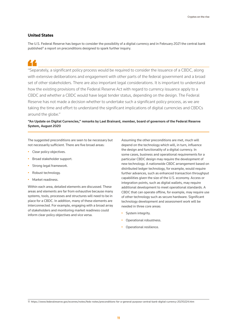### **United States**

The U.S. Federal Reserve has begun to consider the possibility of a digital currency and in February 2021 the central bank published<sup>11</sup> a report on preconditions designed to spark further inquiry.

"Separately, a significant policy process would be required to consider the issuance of a CBDC, along with extensive deliberations and engagement with other parts of the federal government and a broad set of other stakeholders. There are also important legal considerations. It is important to understand how the existing provisions of the Federal Reserve Act with regard to currency issuance apply to a CBDC and whether a CBDC would have legal tender status, depending on the design. The Federal Reserve has not made a decision whether to undertake such a significant policy process, as we are taking the time and effort to understand the significant implications of digital currencies and CBDCs around the globe."

### **"An Update on Digital Currencies," remarks by Lael Brainard, member, board of governors of the Federal Reserve System, August 2020**

The suggested preconditions are seen to be necessary but not necessarily sufficient. There are five broad areas:

- Clear policy objectives.
- Broad stakeholder support.
- Strong legal framework.
- Robust technology.
- Market readiness.

Within each area, detailed elements are discussed. These areas and elements are far from exhaustive because many systems, tools, processes and structures will need to be in place for a CBDC. In addition, many of these elements are interconnected. For example, engaging with a broad array of stakeholders and monitoring market readiness could inform clear policy objectives and vice versa.

Assuming the other preconditions are met, much will depend on the technology which will, in turn, influence the design and functionality of a digital currency. In some cases, business and operational requirements for a particular CBDC design may require the development of new technology. A nationwide CBDC arrangement based on distributed ledger technology, for example, would require further advances, such as enhanced transaction throughput capabilities given the size of the U.S. economy. Access or integration points, such as digital wallets, may require additional development to meet operational standards. A CBDC that can operate offline, for example, may require use of other technology such as secure hardware. Significant technology development and assessment work will be needed in three core areas:

- System integrity.
- Operational robustness.
- Operational resilience.

11 https://www.federalreserve.gov/econres/notes/feds-notes/preconditions-for-a-general-purpose-central-bank-digital-currency-20210224.htm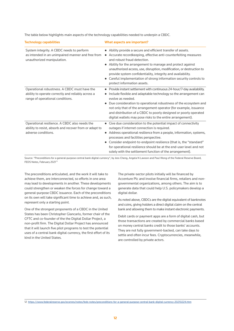The table below highlights main aspects of the technology capabilities needed to underpin a CBDC.

| <b>Technology capabilities</b>                                                                                                         | What aspects are important?                                                                                                                                                                                                                                                                                                                                                                                                                                          |
|----------------------------------------------------------------------------------------------------------------------------------------|----------------------------------------------------------------------------------------------------------------------------------------------------------------------------------------------------------------------------------------------------------------------------------------------------------------------------------------------------------------------------------------------------------------------------------------------------------------------|
| System integrity. A CBDC needs to perform<br>as intended in an unimpaired manner and free from<br>unauthorized manipulation.           | Ability provide a secure and efficient transfer of assets.<br>Accurate recordkeeping, effective anti-counterfeiting measures<br>and robust fraud detection.<br>Ability for the arrangement to manage and protect against<br>unauthorized access, use, disruption, modification, or destruction to<br>provide system confidentiality, integrity and availability.<br>Careful implementation of strong information security controls to<br>protect information assets. |
| Operational robustness. A CBDC must have the<br>ability to operate correctly and reliably across a<br>range of operational conditions. | Provide instant settlement with continuous 24-hour/7-day availability.<br>Include flexible and adaptable technology so the arrangement can<br>evolve as needed.<br>Due consideration to operational robustness of the ecosystem and<br>not only that of the arrangement operator (for example, issuance<br>and distribution of a CBDC to poorly designed or poorly operated<br>digital wallets may pose risks to the entire arrangement).                            |
| Operational resilience. A CBDC also needs the<br>ability to resist, absorb and recover from or adapt to<br>adverse conditions.         | Give due consideration to the potential impact of connectivity<br>outages if internet connection is required.<br>Address operational resilience from a people, information, systems,<br>processes and facilities perspective.<br>Consider endpoint-to-endpoint resilience (that is, the "standard"<br>for operational resilience should be at the end-user level and not<br>solely with the settlement function of the arrangement).                                 |

Source: "Preconditions for a general-purpose central bank digital currency", by Jess Cheng, Angela N Lawson and Paul Wong of the Federal Reserve Board, FEDS Notes, February 2021<sup>12</sup>

The preconditions articulated, and the work it will take to achieve them, are interconnected, so efforts in one area may lead to developments in another. These developments could strengthen or weaken the forces for change toward a general-purpose CBDC issuance. Each of the preconditions on its own will take significant time to achieve and, as such, represent only a starting point.

One of the strongest proponents of a CBDC in the United States has been Christopher Giancarlo, former chair of the CFTC and co-founder of the the Digital Dollar Project, a non-profit firm. The Digital Dollar Project has announced that it will launch five pilot programs to test the potential uses of a central bank digital currency, the first effort of its kind in the United States.

The private-sector pilots initially will be financed by Accenture Plc and involve financial firms, retailers and nongovernmental organizations, among others. The aim is to generate data that could help U.S. policymakers develop a digital dollar.

As noted above, CBDCs are the digital equivalent of banknotes and coins, giving holders a direct digital claim on the central bank and allowing them to make instant electronic payments.

Debit cards or payment apps are a form of digital cash, but those transactions are created by commercial banks based on money central banks credit to those banks' accounts. They are not fully government-backed, can take days to settle and often incur fees. Cryptocurrencies, meanwhile, are controlled by private actors.

12 <https://www.federalreserve.gov/econres/notes/feds-notes/preconditions-for-a-general-purpose-central-bank-digital-currency-20210224.htm>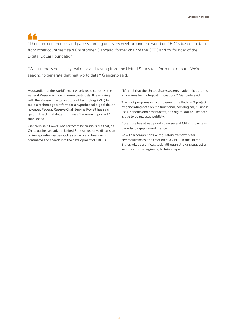"There are conferences and papers coming out every week around the world on CBDCs based on data from other countries," said Christopher Giancarlo, former chair of the CFTC and co-founder of the Digital Dollar Foundation.

"What there is not, is any real data and testing from the United States to inform that debate. We're seeking to generate that real-world data," Giancarlo said.

As guardian of the world's most widely used currency, the Federal Reserve is moving more cautiously. It is working with the Massachusetts Institute of Technology (MIT) to build a technology platform for a hypothetical digital dollar; however, Federal Reserve Chair Jerome Powell has said getting the digital dollar right was "far more important" than speed.

Giancarlo said Powell was correct to be cautious but that, as China pushes ahead, the United States must drive discussion on incorporating values such as privacy and freedom of commerce and speech into the development of CBDCs.

"It's vital that the United States asserts leadership as it has in previous technological innovations," Giancarlo said.

The pilot programs will complement the Fed's MIT project by generating data on the functional, sociological, business uses, benefits and other facets, of a digital dollar. The data is due to be released publicly.

Accenture has already worked on several CBDC projects in Canada, Singapore and France.

As with a comprehensive regulatory framework for cryptocurrencies, the creation of a CBDC in the United States will be a difficult task, although all signs suggest a serious effort is beginning to take shape.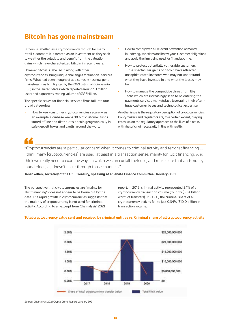## **Bitcoin has gone mainstream**

Bitcoin is labelled as a cryptocurrency though for many retail customers it is treated as an investment as they seek to weather the volatility and benefit from the valuation gains which have characterized bitcoin in recent years.

However bitcoin is labelled it, along with other cryptocurrencies, bring unique challenges for financial services firms. What had been thought of as a curiosity has now gone mainstream, as highlighted by the 2021 listing of Coinbase (a CSP) in the United States which reported around 53 million users and a quarterly trading volume of \$335billion.

The specific issues for financial services firms fall into four broad categories:

How to keep customer cryptocurrencies secure  $-$  as an example, Coinbase keeps 98% of customer funds stored offline and distributes bitcoin geographically in safe deposit boxes and vaults around the world.

- How to comply with all relevant prevention of money laundering, sanctions and know-your-customer obligations and avoid the firm being used for financial crime.
- How to protect potentially vulnerable customers — the spectacular gains of bitcoin have attracted unsophisticated investors who may not understand what they have invested in and what the losses may be.
- How to manage the competitive threat from Big Techs which are increasingly seen to be entering the payments services marketplace leveraging their oftenhuge customer bases and technological expertise.

Another issue is the regulatory perception of cryptocurrencies. Policymakers and regulators are, to a certain extent, playing catch-up on the regulatory approach to the likes of bitcoin, with rhetoric not necessarily in line with reality.

"Cryptocurrencies are 'a particular concern' when it comes to criminal activity and terrorist financing … I think many [cryptocurrencies] are used, at least in a transaction sense, mainly for illicit financing. And I think we really need to examine ways in which we can curtail their use, and make sure that anti-money laundering [sic] doesn't occur through those channels."

**Janet Yellen, secretary of the U.S. Treasury, speaking at a Senate Finance Committee, January 2021**

The perspective that cryptocurrencies are "mainly for illicit financing" does not appear to be borne out by the data. The rapid growth in cryptocurrencies suggests that the majority of cryptocurrency is not used for criminal activity. According to an excerpt from Chainalysis' 2021

report, in 2019, criminal activity represented 2.1% of all cryptocurrency transaction volume (roughly \$21.4 billion worth of transfers). In 2020, the criminal share of all cryptocurrency activity fell to just 0.34% (\$10.0 billion in transaction volume).



#### **Total cryptocurrency value sent and received by criminal entities vs. Criminal share of all cryptocurrency activity**

Source: Chainalysis 2021 Crypto Crime Report, January 2021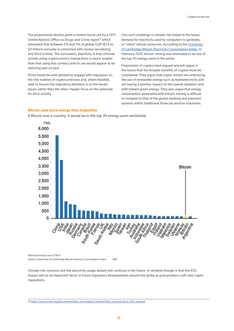The proportional decline point is further borne out by a 2011 United Nations Office on Drugs and Crime report<sup>13</sup> which estimated that between 2% and 5% of global GDP (\$1.6 to \$4 trillion) annually is connected with money laundering and illicit activity. The conclusion, therefore, is that criminal activity using cryptocurrency transactions is much smaller than that using fiat currency and its use would appear to be reducing year on year.

Firms would be well advised to engage with regulators on the risk realities of cryptocurrencies and, where feasible, seek to ensure the regulatory attention is on the broad issues rather than the often-myopic focus on the potential for illicit activity.

One such challenge is climate risk linked to the heavy demand for electricity used by computers to generate, or "mine" virtual currencies. According to the University [of Cambridge Bitcoin Electricity Consumption Index](https://cbeci.org/), in February 2021, bitcoin mining was estimated to be one of the top 30 energy users in the world.

Proponents of cryptos have argued and will argue in the future that the broader benefits of cryptos must be considered. They argue that crypto miners are embracing the use of renewable energy such as hydroelectricity and are having a positive impact on the overall adoption and shift toward green energy. They also argue that energy consumption associated with bitcoin mining is difficult to compare to that of the global banking and payment systems within traditional financial services industries.

### **Bitcoin uses more energy than Argentina**

If Bitcoin was a country, it would be in the top 30 energy users worldwide



National energy use in TW/h

Source: University of Cambridge Bitcoin Electricy Consumption Index BBC

Climate risk concerns and the electricity usage debate will continue in the future. A certainty though is that the ESG impact will be an important factor in future regulatory developments around the globe as policymakers craft new crypto regulations.

13 [https://www.unodc.org/documents/data-and-analysis/Studies/Illicit\\_financial\\_flows\\_2011\\_web.pdf](https://www.unodc.org/documents/data-and-analysis/Studies/Illicit_financial_flows_2011_web.pdf)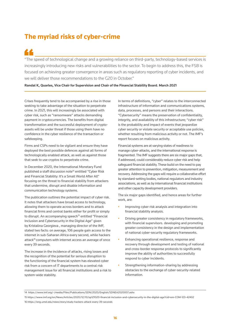### **The myriad risks of cyber-crime**

"The speed of technological change and a growing reliance on third-party, technology-based services is increasingly introducing new risks and vulnerabilities to the sector. To begin to address this, the FSB is focused on achieving greater convergence in areas such as regulatory reporting of cyber incidents, and we will deliver those recommendations to the G20 in October."

#### **Randal K, Quarles, Vice Chair for Supervision and Chair of the Financial Stability Board. March 2021**

Crises frequently tend to be accompanied by a rise in those seeking to take advantage of the situation to perpetrate crime. In 2021, this will increasingly be associated with cyber risk, such as "ransomware" attacks demanding payment in cryptocurrencies. The benefits from digital transformation and the successful deployment of cryptoassets will be under threat if those using them have no confidence in the cyber resilience of the transaction or safekeeping.

Firms and CSPs need to be vigilant and ensure they have deployed the best possible defences against all forms of technologically enabled attack, as well as against those that seek to use cryptos to perpetrate crime.

In December 2020, the International Monetary Fund published a staff discussion note<sup>14</sup> entitled "Cyber Risk and Financial Stability: It's a Small World After All" focusing on the threat to financial stability from attackers that undermine, disrupt and disable information and communication technology systems.

The publication outlines the potential impact of cyber risk. It notes that attackers have broad access to technology, allowing them to operate across borders and to attack financial firms and central banks either for profit or simply to disrupt. An accompanying speech<sup>15</sup> entitled "Financial Inclusion and Cybersecurity in the Digital Age" given by Kristalina Georgieva , managing director of the IMF, stated two facts: on average, 106 people gain access to the internet in sub-Saharan Africa every second, while hackers attack<sup>16</sup> computers with internet access an average of once every 39 seconds.

The increase in the incidence of attacks, rising losses and the recognition of the potential for serious disruption to the functioning of the financial system has elevated cyber risk from a concern of IT departments to a central risk management issue for all financial institutions and a risk to system-wide stability.

In terms of definitions, "cyber" relates to the interconnected infrastructure of information and communications systems, data, processes, and persons and their interactions. "Cybersecurity" means the preservation of confidentiality, integrity, and availability of this infrastructure; "cyber risk" is the probability and impact of events that jeopardize cyber security or violate security or acceptable use policies, whether resulting from malicious activity or not. The IMF's report focuses on malicious activity.

Financial systems are at varying states of readiness to manage cyber-attacks, and the international response is fragmented. The IMF suggests there are six major gaps that, if addressed, could considerably reduce cyber risk and help safeguard financial stability. These build on the need to pay greater attention to prevention, mitigation, measurement and recovery. Addressing the gaps will require a collaborative effort by standard-setting bodies, national regulators and industry associations, as well as by international financial institutions and other capacity development providers.

The six major gaps identified, and hence areas for further work, are:

- Improving cyber risk analysis and integration into financial stability analysis.
- Driving greater consistency in regulatory frameworks, with financial supervisors. developing and promoting greater consistency in the design and implementation of national cyber-security regulatory frameworks.
- Enhancing operational resilience, response and recovery through development and testing of national and cross-border response protocols to significantly improve the ability of authorities to successfully respond to cyber incidents.
- Strengthening information-sharing by addressing obstacles to the exchange of cyber-security-related information.

15 https://www.imf.org/en/News/Articles/2020/12/10/sp121020-financial-inclusion-and-cybersecurity-in-the-digital-age?cid=em-COM-123-42402 16 https://eng.umd.edu/news/story/study-hackers-attack-every-39-seconds

<sup>14</sup> https://www.imf.org/-/media/Files/Publications/SDN/2020/English/SDNEA2020007.ashx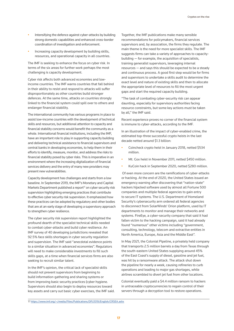- Intensifying the defence against cyber-attacks by building strong domestic capabilities and enhanced cross-border coordination of investigation and enforcement.
- Increasing capacity development by building skills, resources, and operational capacity in all countries.

The IMF is seeking to enhance the focus on cyber risk. In terms of the six areas for further work perhaps the most challenging is capacity development.

Cyber risk affects both advanced economies and lowincome countries. The IMF warns countries that fall behind in their ability to resist and respond to attacks will suffer disproportionately as other countries build stronger defences. At the same time, attacks on countries strongly linked to the financial system could spill over to others and endanger financial stability.

The international community has various programs in place to assist low-income countries with the development of technical skills and resources, but additional attention to capacity and financial stability concerns would benefit the community as a whole. International financial institutions, including the IMF, have an important role to play in supporting capacity building and delivering technical assistance to financial supervisors and central banks in developing economies, to help them in their efforts to identify, measure, monitor, and address the risks to financial stability posed by cyber risks. This is imperative in an environment where the increasing digitalization of financial services delivery and the entry of many new providers may present new vulnerabilities.

Capacity development has challenges and starts from a low baseline. In September 2019, the IMF's Monetary and Capital Markets Department published a report<sup>17</sup> on cyber security risk supervision highlighting emerging practices that contribute to effective cyber security risk supervision. It emphasized how these practices can be adopted by regulatory and other bodies that are at an early stage of developing a supervisory approach to strengthen cyber resilience.

The cyber security risk supervision report highlighted the profound dearth of the specialist technical skills needed to combat cyber-attacks and build cyber resilience. An IMF survey of 40 developing jurisdictions revealed that 92.5% face skills shortages in cyber security regulation and supervision. The IMF said "anecdotal evidence points to a similar situation in advanced economies". Regulators will need to make considerable investments to fill such skills gaps, at a time when financial services firms are also seeking to recruit similar talent.

In the IMF's opinion, the critical lack of specialist skills should not prevent supervisors from beginning to build information-gathering and sharing systems or from improving basic security practices (cyber hygiene. Supervisors should also begin to deploy resources toward key assets and carry out basic cyber exercises, the IMF said.

Together, the IMF publications make many sensible recommendations for policymakers, financial services supervisors and, by association, the firms they regulate. The main theme is the need for more specialist skills. The IMF suggests firms can take a variety of approaches to capacitybuilding — for example, the acquisition of specialists, training generalist supervisors, leveraging internal resources — and says this should be expected to be a steady and continuous process. A good first step would be for firms and supervisors to undertake a skills audit to determine the exact level and nature of existing skills and then to allocate the appropriate level of resources to fill the most urgent gaps and start the required capacity building.

"The task of combating cyber-security risk can appear daunting, especially for supervisory authorities facing resource constraints, but some key actions must be taken by all," the IMF said.

Recent experience proves no corner of the financial system is immune to cyber-attacks, according to the IMF.

In an illustration of the impact of cyber-enabled crime, the estimated top-three successful crypto heists in the last decade netted around \$1.3 billion:

- Coincheck crypto heist in January 2018, netted \$534 million.
- Mt. Gox heist in November 2011, netted \$450 million.
- KuCoin hack in September 2020, netted \$280 million.

 Of even more concern are the ramifications of cyber-attacks or hacking. At the end of 2020, the United States issued an emergency warning after discovering that "nation-state" hackers hijacked software used by almost all Fortune 500 companies and multiple federal agencies to gain entry to secure IT systems. The U.S. Department of Homeland Security's cybersecurity arm ordered all federal agencies to disconnect from SolarWinds' Orion platform, used by IT departments to monitor and manage their networks and systems. FireEye, a cyber-security company that said it had fallen victim to the hacking campaign, said it had already found "numerous" other victims including "government, consulting, technology, telecom and extractive entities in North America, Europe, Asia and the Middle East".

In May 2021, the Colonial Pipeline, a privately held company that transports 2.5 million barrels a day from Texas through the south-eastern United States supplying around 45% of the East Coast's supply of diesel, gasoline and jet fuel, was hit by a ransomware attack. The attack shut down the pipeline for nearly a week, causing refineries to curb operations and leading to major gas shortages, while airlines scrambled to divert jet fuel from other locations.

Colonial eventually paid a \$4.4 million ransom to hackers in untraceable cryptocurrencies to regain control of their servers through a decryption tool to restore operations.

17<https://www.imf.org/~/media/Files/Publications/DP/2019/English/CRSEA.ashx>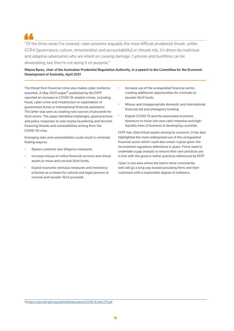"Of the three areas I've covered, cyber presents arguably the most difficult prudential threat: unlike GCRA [governance, culture, remuneration and accountability] or climate risk, it's driven by malicious and adaptive adversaries who are intent on causing damage. Cyclones and bushfires can be devastating, but they're not doing it on purpose."

### **Wayne Byres, chair of the Australian Prudential Regulation Authority, in a speech to the Committee for the Economic Development of Australia, April 2021**

The threat from financial crime also makes cyber resilience essential. A May 2020 paper<sup>18</sup> published by the FATF reported an increase in COVID-19-related crimes, including fraud, cyber crime and misdirection or exploitation of government funds or international financial assistance. The latter was seen as creating new sources of proceeds for illicit actors. The paper identified challenges, good practices and policy responses to new money laundering and terrorist financing threats and vulnerabilities arising from the COVID-19 crisis.

Emerging risks and vulnerabilities could result in criminals finding ways to:

- Bypass customer due diligence measures.
- Increase misuse of online financial services and virtual assets to move and conceal illicit funds.
- Exploit economic stimulus measures and insolvency schemes as a means for natural and legal persons to conceal and launder illicit proceeds.
- Increase use of the unregulated financial sector, creating additional opportunities for criminals to launder illicit funds.
- Misuse and misappropriate domestic and international financial aid and emergency funding.
- Exploit COVID-19 and the associated economic downturn to move into new cash-intensive and highliquidity lines of business in developing countries.

FATF has cited virtual assets among its concerns. It has also highlighted the more widespread use of the unregulated financial sector which could also entail cryptos given the inconsistent regulatory definitions in place. Firms need to undertake a gap analysis to ensure their own practices are in line with the good or better practices referenced by FATF.

Cyber is one area where the basics done consistently well will go a long way toward providing firms and their customers with a reasonable degree of resilience.

18 [https://www.fatf-gafi.org/media/fatf/documents/COVID-19-AML-CFT.pdf]( https://www.fatf-gafi.org/media/fatf/documents/COVID-19-AML-CFT.pdf)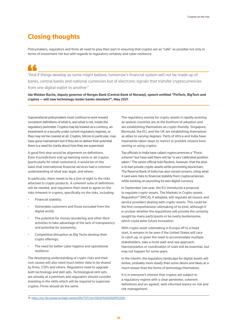## **Closing thoughts**

Policymakers, regulators and firms all need to play their part in ensuring that cryptos are as "safe" as possible not only in terms of investment risk but with regards to regulatory certainty and cyber resilience.

"And if things develop as some might believe, tomorrow's financial system will not be made up of banks, central banks and national currencies but of electronic signals that transfer cryptocurrencies from one digital wallet to another."

**Ida Wolden Bache, deputy governor of Norges Bank (Central Bank of Norway), speech entitled "FinTech, BigTech and cryptos — will new technology render banks obsolete?", May 2021**

Supranational policymakers must continue to work toward consistent definitions of what is, and what is not, inside the regulatory perimeter. Cryptos may be treated as a currency, an investment or a security under current regulatory regimes, or they may not be covered at all. Cryptos, bitcoin in particular, may have gone mainstream but if they are to deliver their potential there is a need for clarity about how they are supervised.

A good first step would be alignment on definitions. Even if jurisdictions end up banning some or all cryptos (particularly for retail customers), it would be on the basis that international financial services had a common understanding of what was legal, and where.

In particular, there needs to be a line of sight to the risks attached to crypto products. A coherent suite of definitions will be needed, and regulators then need to agree on the risks inherent in cryptos, specifically on the risks, including:

- Financial stability;
- Vulnerable customers and those excluded from the digital world;
- The potential for money laundering and other illicit activities to take advantage of the lack of transparency and potential for anonymity;
- Competitive disruption as Big Techs develop their crypto offerings;
- The need for better cyber hygiene and operational resilience.

The developing understanding of crypto risks and their root causes will also need much better data to be shared by firms, CSPs and others. Regulators need to upgrade both technology and skill sets. Technological skill sets are already at a premium and regulators should consider investing in the skills which will be required to supervise cryptos. Firms should do the same.

The regulatory overlay for crypto-assets is rapidly evolving as several countries are at the forefront of adoption and are establishing themselves as crypto-friendly. Singapore, Bermuda, the EU, and the UK are establishing themselves as allies to varying degrees. Parts of Africa and India have meanwhile taken steps to restrict or prohibit citizens from owning or using cryptos.

Top officials in India have called cryptocurrencies a "Ponzi scheme" but have said there will be "a very calibrated position taken." The senior official told Reuters, however, that the plan is to ban private crypto-assets while promoting blockchain. The Reserve Bank of India has also voiced concern, citing what it said were risks to financial stability from cryptocurrencies while working on launching its own digital currency.

In September last year, the EU introduced a proposal to regulate crypto-assets. The Markets in Crypto-assets Regulation<sup>19</sup> (MICA), if adopted, will regulate all issuers and service providers dealing with crypto-assets. This could be the first comprehensive rulemaking of its kind, although it is unclear whether the regulations will provide the certainty sought by many participants or be overly burdensome, which could deter future innovation.

With crypto-asset rulemaking in Europe off to a head start, it remains to be seen if the United States will race to catch up, or given the need to accommodate multiple stakeholders, take a more wait-and-see approach. Harmonization or coordination of rules will be essential, but may not happen for some years.

In the interim, the regulatory landscape for digital assets will evolve, probably more slowly than some desire and likely at a much slower than the forms of technology themselves.

It is in everyone's interest that cryptos are subject to a regulatory regime with a clear perimeter, coherent definitions and an agreed, well-informed stance on risk and risk management.

<sup>19</sup> <https://eur-lex.europa.eu/legal-content/EN/TXT/?uri=CELEX%3A52020PC0593>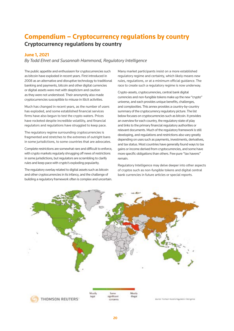## **Compendium – Cryptocurrency regulations by country Cryptocurrency regulations by country**

### **June 1, 2021**

*By Todd Ehret and Susannah Hammond, Regulatory Intelligence*

The public appetite and enthusiasm for cryptocurrencies such as bitcoin have exploded in recent years. First introduced in 2008 as an alternative and disruptive technology to traditional banking and payments, bitcoin and other digital currencies or digital assets were met with skepticism and caution as they were not understood. Their anonymity also made cryptocurrencies susceptible to misuse in illicit activities.

Much has changed in recent years, as the number of users has exploded, and some established financial services firms have also begun to test the crypto waters. Prices have rocketed despite incredible volatility, and financial regulators and regulations have struggled to keep pace.

The regulatory regime surrounding cryptocurrencies is fragmented and stretches to the extremes of outright bans in some jurisdictions, to some countries that are advocates.

Complete restrictions are somewhat rare and difficult to enforce, with crypto markets regularly shrugging off news of restrictions in some jurisdictions, but regulators are scrambling to clarify rules and keep pace with crypto's exploding popularity.

The regulatory overlay related to digital assets such as bitcoin and other cryptocurrencies in its infancy, and the challenge of building a regulatory framework often is complex and uncertain. Many market participants insist on a more established regulatory regime and certainty, which likely means new rules, regulations, or at a minimum official guidance. The race to create such a regulatory regime is now underway.

Crypto-assets, cryptocurrencies, central bank digital currencies and non-fungible tokens make up the new "crypto" universe, and each provides unique benefits, challenges, and complexities. This annex provides a country-by-country summary of the cryptocurrency regulatory picture. The list below focuses on cryptocurrencies such as bitcoin. It provides an overview for each country, the regulatory state of play and links to the primary financial regulatory authorities or relevant documents. Much of the regulatory framework is still developing, and regulations and restrictions also vary greatly depending on uses such as payments, investments, derivatives, and tax status. Most countries have generally found ways to tax gains or income derived from cryptocurrencies, and some have more specific obligations than others. Few pure "tax havens" remain.

Regulatory Intelligence may delve deeper into other aspects of cryptos such as non-fungible tokens and digital central bank currencies in future articles or special reports.

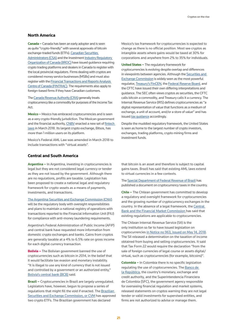### **North America**

**Canada –** Canada has been an early adopter and is seen as quite "crypto-friendly" with several approvals of bitcoin exchange-traded funds (ETFs). [Canadian Securities](https://www.securities-administrators.ca/aboutcsa.aspx?id=2033)  [Administrators \(CSA\)](https://www.securities-administrators.ca/aboutcsa.aspx?id=2033) and the Investment [Industry Regulatory](https://www.iiroc.ca/documents/2021/61a4428e-a8ad-4f1b-a542-85855ca18155_en.pdf)  [Organization of Canada \(IIROC\)](https://www.iiroc.ca/documents/2021/61a4428e-a8ad-4f1b-a542-85855ca18155_en.pdf) have issued guidance requiring crypto trading platforms and dealers in Canada to register with the local provincial regulators. Firms dealing with cryptos are considered money service businesses (MSBs) and must also register with the [Financial Transactions and Reports Analysis](https://www.fintrac-canafe.gc.ca/msb-esm/msb-eng)  [Centre of Canada \(FINTRAC\)](https://www.fintrac-canafe.gc.ca/msb-esm/msb-eng). The requirements also apply to foreign-based firms if they have Canadian customers.

The [Canada Revenue Authority \(CRA\)](https://www.canada.ca/en/revenue-agency/programs/about-canada-revenue-agency-cra/compliance/digital-currency/cryptocurrency-guide.html) generally treats cryptocurrency like a commodity for purposes of the Income Tax Act.

**Mexico –** Mexico has embraced cryptocurrencies and is seen as a very crypto-friendly jurisdiction. The Mexican government and the financial authority, [CNBV](https://www.gob.mx/cnbv) enacted a new set of [fintech](http://www.diputados.gob.mx/LeyesBiblio/ref/lritf.htm)  [laws](http://www.diputados.gob.mx/LeyesBiblio/ref/lritf.htm) in March 2018. Its largest crypto exchange, Bitsos, has more than 1 million users on its platform.

Mexico's Federal AML Law was amended in March 2018 to include transactions with "virtual assets".

#### **Central and South America**

**Argentina –** In Argentina, investing in cryptocurrencies is legal but they are not considered legal currency or tender as they are not issued by the government. Although there are no regulations, profits are taxable. Legislation has been proposed to create a national legal and regulatory framework for crypto-assets as a means of payments, investments, and transactions.

#### [The Argentina Securities and Exchange Commission \(CNV\)](https://www.argentina.gob.ar/cnv)

will be the regulatory body with oversight responsibilities and plans to maintain a national registry of operations with transactions reported to the Financial Information Unit (FIU) for compliance with anti-money laundering requirements.

Argentina's Federal Administration of Public Income (AFIP) and central bank have requested more information from domestic crypto exchanges and banks. Gains from cryptos are generally taxable at a 4% to 6.5% rate on gross income for each digital currency transaction.

**Bolivia –** The Bolivian government banned the use of cryptocurrencies such as bitcoin in 2014, in the belief that it would facilitate tax evasion and monetary instability. "It is illegal to use any kind of currency that is not issued and controlled by a government or an authorized entity," [Bolivia's central bank \(BCB\)](https://www.bcb.gob.bo/) said.

**Brazil –** Cryptocurrencies in Brazil are largely unregulated. Legislators have, however, begun to propose a series of regulations that might fill the void if enacted. The [Brazilian](http://conteudo.cvm.gov.br/subportal_ingles/index.html)  [Securities and Exchange Commission, or CVM](http://conteudo.cvm.gov.br/subportal_ingles/index.html) has approved two crypto ETFs. The Brazilian government has declared

Mexico's tax framework for cryptocurrencies is expected to change as there is no official position. Most see cryptos as intangible assets where gains would be taxed at 30% for corporations and anywhere from 2% to 35% for individuals.

**United States –** The regulatory framework for cryptocurrencies is evolving despite overlap and differences in viewpoints between agencies. Although the Securities and [Exchange Commission](https://www.sec.gov/files/digital-assets-risk-alert.pdf) is widely seen as the most powerful regulator, [Treasury's FinCEN,](https://home.treasury.gov/news/press-releases/sm1216) the [Federal Reserve Board,](https://www.federalreserve.gov/econres/notes/feds-notes/tokens-and-accounts-in-the-context-of-digital-currencies-122320.htm) and the CFTC have issued their own differing interpretations and guidance. The SEC often views cryptos as securities, the CFTC calls bitcoin a commodity, and Treasury calls it a currency. The Internal Revenue Service (IRS) defines cryptocurrencies as "a digital representation of value that functions as a medium of exchange, a unit of account, and/or a store of value" and has issued tax quidance accordingly.

Despite the muddied regulatory framework, the United States is seen as home to the largest number of crypto investors, exchanges, trading platforms, crypto mining firms and investment funds.

that bitcoin is an asset and therefore is subject to capital gains taxes. Brazil has said that existing AML laws extend to virtual currencies in a few contexts.

The [Special Department of Federal Revenue of Brazil](http://normas.receita.fazenda.gov.br/sijut2consulta/link.action?visao=anotado&idAto=100592) has published a document on cryptocurrency taxes in the country.

**Chile –** The Chilean government has committed to develop a regulatory and oversight framework for cryptocurrencies and the growing number of cryptocurrency exchanges in the country. In the absence of a legal framework, the [Central](https://www.cmfchile.cl/portal/principal/613/w3-article-25729.html)  [Bank and the Financial Market Commission](https://www.cmfchile.cl/portal/principal/613/w3-article-25729.html) has said that existing regulations are applicable to cryptocurrencies.

The Chilean Internal Revenue Service (SII) is the only institution so far to have issued legislation on cryptocurrencies [in Notice no 963, issued on May 14, 2018.](https://www.sii.cl/normativa_legislacion/jurisprudencia_administrativa/ley_impuesto_renta/2018/ja963.htm) The SII released a determination on the taxation of income obtained from buying and selling cryptocurrencies. It said that Tax Form 22 would require the declaration "from the sale of foreign currencies of legal course or assets digital/ virtual, such as cryptocurrencies (for example, bitcoins)".

**Colombia –** In Colombia there is no specific legislation regulating the use of cryptocurrencies. The [Banco de](https://www.banrep.gov.co/es/publicaciones/documento-tecnico-criptoactivos)  [la República,](https://www.banrep.gov.co/es/publicaciones/documento-tecnico-criptoactivos) the country's monetary, exchange and credit authority, and the Superintendencia Financiera de Colombia (SFC), the government agency responsible for overseeing financial regulation and market systems, released statements on cryptos warning they are not legal tender or valid investments for supervised entities, and firms are not authorized to advise or manage them.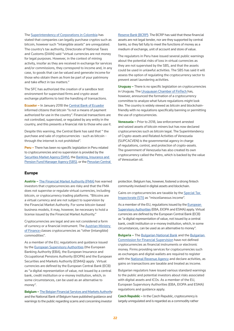### The [Superintendency of Corporations in Colombia](https://www.supersociedades.gov.co/nuestra_entidad/normatividad/normatividad_conceptos_juridicos/OFICIO_100-237890_DE_2020.pdf) has stated that companies can legally purchase cryptos such as bitcoin, however such "intangible assets" are unregulated. The country's tax authority, Directorate of National Taxes and Customs (DIAN) said "virtual currencies are not money for legal purposes. However, in the context of mining activity, insofar as they are received in exchange for services and/or commissions, they correspond to income and, in any case, to goods that can be valued and generate income for those who obtain them as from be part of your patrimony and take effect in tax matters."

The SFC has authorized the creation of a sandbox test environment for supervised firms and crypto-asset exchange platforms to test the handling of transactions.

**Ecuador –** In January 2018 the [Central Bank of Ecuador](https://www.bce.fin.ec/index.php/boletines-de-prensa-archivo/item/1028-comunicado-oficial-sobre-el-uso-del-bitcoin) informed citizens that bitcoin "is not a means of payment authorized for use in the country". Financial transactions are not controlled, supervised, or regulated by any entity in the country, and this presents a financial risk to those who use it.

Despite this warning, the Central Bank has said that " the purchase and sale of cryptocurrencies - such as bitcoin through the internet is not prohibited".

**Peru –** There has been no specific legislation in Peru related to cryptocurrencies and no supervision is provided by the [Securities Market Agency \(SMV\)](https://www.smv.gob.pe/), the Banking, Insurance and [Pension Fund Manager Agency \(SBS\),](http://Banking, Insurance and Pension Fund Manager Agency (SBS)) or the Peruvian Central

[Reserve Bank \(BCRP\)](https://www.bcrp.gob.pe/en). The BCRP has said that these financial assets are not legal tender, nor are they supported by central banks, so they fail fully to meet the functions of money as a medium of exchange, unit of account and store of value.

The regulators in Peru have issued several public warnings about the potential risks of loss in virtual currencies as they are not supervised by the SBS, and that the assets could be used in unlawful activities. The SBS has said it will assess the option of regulating the cryptocurrency sector to prevent asset laundering activities.

**Uruguay –** There is no specific legislation on cryptocurrencies in Uruguay. The [Uruguayan Chamber of FinTech h](https://fintech.org.uy/)as, however, announced the formation of a cryptocurrency committee to analyze what future regulations might look like. The country is widely viewed as bitcoin and blockchainfriendly with no regulations specifically banning or permitting the use of cryptocurrencies.

**Venezuela –** Prior to 2018, law enforcement arrested and seized assets of bitcoin miners but has now declared cryptocurrencies such as bitcoin legal. The Superintendency of Crypto-assets and Related Activities of Venezuela (SUPCACVEN) is the governmental agency in charge of regulations, control, and protection of crypto-assets. The government of Venezuela has also created its own cryptocurrency called the Petro, which is backed by the value of Venezuelan oil.

#### **Europe**

**Austria –** [The Financial Market Authority \(FMA\)](https://www.fma.gv.at/en/bitcoins/) has warned investors that cryptocurrencies are risky and that the FMA does not supervise or regulate virtual currencies, including bitcoin, or cryptocurrency trading platforms. "Bitcoins are a virtual currency and are not subject to supervision by the Financial Market Authority. For some bitcoin-based business models, it may, however, be necessary to hold a license issued by the Financial Market Authority."

Cryptocurrencies are legal and are not considered a form of currency or a financial instrument. The [Austrian Ministry](https://www.bmf.gv.at/en.html)  [of Finance](https://www.bmf.gv.at/en.html) classes cryptocurrencies as "other (intangible) commodities".

As a member of the EU, regulations and guidance issued by the [European Supervisory Authorities](https://www.eba.europa.eu/financial-innovation-and-fintech/publications-on-financial-innovation/crypto-assets-esas-remind-consumers-about-risks) (the European Banking Authority (EBA), the European Insurance and Occupational Pensions Authority (EIOPA) and the European Securities and Markets Authority (ESMA)) apply . Virtual currencies are defined by the European Central Bank (ECB) as "a digital representation of value, not issued by a central bank, credit institution or e-money institution, which, in some circumstances, can be used as an alternative to money".

**Belgium –** [The Belgian Financial Services and Markets Authorit](https://www.fsma.be/en)y and the National Bank of Belgium have published guidance and warnings to the public regarding scams and concerning investor

protection. Belgium has, however, fostered a strong fintech community involved in digital assets and blockchain.

Gains on cryptocurrencies are taxable by the [Special Tax](https://finance.belgium.be/en/about_fps/structure_and_services/general_administrations/sti)  [Inspectorate \(STI\)](https://finance.belgium.be/en/about_fps/structure_and_services/general_administrations/sti) as "miscellaneous income".

As a member of the EU, regulations issued by the [European](https://www.eba.europa.eu/financial-innovation-and-fintech/publications-on-financial-innovation/crypto-assets-esas-remind-consumers-about-risks)  [Supervisory Authorities](https://www.eba.europa.eu/financial-innovation-and-fintech/publications-on-financial-innovation/crypto-assets-esas-remind-consumers-about-risks) (EBA, EIOPA and ESMA) apply. Virtual currencies are defined by the European Central Bank (ECB) as "a digital representation of value, not issued by a central bank, credit institution or e-money institution, which, in some circumstances, can be used as an alternative to money".

**Bulgaria –** The [Bulgarian National Bank](https://www.bnb.bg/) and the [Bulgarian](http://Bulgarian Commission for Financial Supervision)  [Commission for Financial Supervision](http://Bulgarian Commission for Financial Supervision) have not defined cryptocurrencies as financial instruments or electronic money. Firms providing services for cryptocurrencies such as exchanges and digital wallets are required to register with the [National Revenue Agency](https://www.iota-tax.org/organization/national-revenue-agency) and declare activities, as gains on transactions are taxable and treated as income.

Bulgarian regulators have issued various standard warnings to the public and potential investors about risks associated with digital assets and ICOs. As a member of the EU, European Supervisory Authorities (EBA, EIOPA and ESMA) regulations and guidance apply.

**Czech Republic –** In the Czech Republic, cryptocurrency is largely unregulated and is regarded as a commodity rather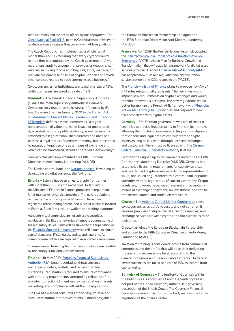than a currency and are not an official means of payment. The [Czech National Bank \(CNB\)](https://www.cnb.cz/en/public/media-service/speeches-conferences-seminars/presentations-and-speeches/Cryptoassets-Central-Banks-and-the-Current-Monetary-System-pdf-754-kB/) permits Czech banks to offer cryptorelated services as long as they comply with AML regulations.

The Czech Republic has implemented a stricter legal model than AMLD5 requiring that every cryptocurrencyrelated firm be regulated by the Czech government. AML regulations apply to anyone that provides cryptocurrency services, including "those who buy, sell, store, manage, or mediate the purchase or sale of cryptocurrencies or provide other services related to such currencies as a business."

Cryptocurrencies for individuals are taxed at a rate of 15%, while businesses are taxed at a rate of 19%.

**Denmark –** The Danish Financial Supervisory Authority (FSA) is the main supervisory authority in Denmark. Cryptocurrency regulation is, however, influenced by EU law. An amendment in January 2020 to the [Danish Act](https://www.dfsa.dk/Rules-and-Practice/AML_act_guide)  [on Measures to Prevent Money Laundering and Financing](https://www.dfsa.dk/Rules-and-Practice/AML_act_guide)  [of Terrorism](https://www.dfsa.dk/Rules-and-Practice/AML_act_guide) defines a virtual currency as "a digital representation of value that is not issued or guaranteed by a central bank or a public authority, is not necessarily attached to a legally established currency and does not possess a legal status of currency or money, but is accepted by natural or legal persons as a means of exchange and which can be transferred, stored and traded electronically".

Denmark has also implemented the Fifth European Directive on Anti-Money Laundering (AMLD5)

The Danish central bank, the [Nationalbanken,](https://www.nationalbanken.dk/en/publications/Pages/2017/12/Central-bank-digital-currency-in-Denmark.aspx) is working on developing a digital currency, the "e-krone."

**Estonia –** Estonia has been an early crypto frontrunner with more than 1300 crypto exchanges. In January 2021 the Ministry of Finance in Estonia proposed to regulations for virtual currency service providers. The new regulations require "virtual currency service" firms to have their registered office, management, and place of business located in Estonia. Such firms include wallets and trading platforms,

Although virtual currencies are not subject to securities regulation in the EU, the new rules attempt to address some of the regulatory issues. Firms will be subject to the supervision of the **Financial Supervision Authority** which will require minimum capital standards, IT standards, audits, and reporting. All current license holders are required to re-apply for a new license.

Income derived from cryptocurrencies in Estonia are taxable by the county's Tax and Custom Board.

**Finland –** In May 2019, [Finland's Financial Supervisory](https://www.finanssivalvonta.fi/en/publications-and-press-releases/supervision-releases/2019/virtual-currency-providers-to-be-supervised-by-the-fin-fsa--briefing-for-virtual-currency-providers-on-15-may/)  [Authority \(FSA\)](https://www.finanssivalvonta.fi/en/publications-and-press-releases/supervision-releases/2019/virtual-currency-providers-to-be-supervised-by-the-fin-fsa--briefing-for-virtual-currency-providers-on-15-may/) began regulating virtual currency exchange providers, wallets, and issuers of virtual currencies. Registration is required to ensure compliance with statutory requirements surrounding reliability of the provider, protection of client money, segregation of assets, marketing, and compliance with AML/CFT regulations.

The FSA has warned consumers of the risky, volatile and speculative nature of the investments. Finland has joined the European Blockchain Partnership and agreed to the Fifth European Directive on Anti-Money Laundering (AMLD5).

**France –** In April 2019, the French National Assembly adopted the [Plan d'Action pour la Croissance et la Transformation de](https://www.gouvernement.fr/en/pacte-the-action-plan-for-business-growth-and-transformation#:~:text=The%20PACTE%20will%20facilitate%20access,need%20in%20order%20to%20innovate.)  [Enterprises](https://www.gouvernement.fr/en/pacte-the-action-plan-for-business-growth-and-transformation#:~:text=The%20PACTE%20will%20facilitate%20access,need%20in%20order%20to%20innovate.) (PACTE – Action Plan for Business Growth and Transformation) that will establish a framework for digital asset services providers. France's [Financial Market Authority \(AMF\)](https://www.amf-france.org/en) has adopted new rules and regulations for cryptocurrency service providers and ICOs, related to the (PACTE).

The [French Ministry of Finance](https://www.economie.gouv.fr/welcome-to-the-french-ministry-for-the-economy-and-finance) plans to propose new AML/ CFT rules related to digital assets. The new rules would impose new requirements on crypto exchanges and would prohibit anonymous accounts. The new regulations would better harmonize the French AML framework with Financial [Action Task Force \(FATF\)](https://www.fatf-gafi.org/) principles and respond to new risks associated with digital assets.

**Germany –** The German government was one of the first countries to provide legal certainty to financial institutions allowing them to hold crypto-assets. Regulations stipulate that citizens and legal entities can buy or trade cryptoassets as long as it is done through licensed exchanges and custodians. Firms must be licensed with the [German](https://www.bafin.de/EN/Aufsicht/BankenFinanzdienstleister/Zulassung/Kryptoverwahrgeschaeft/kryptoverwahrgeschaeft_node_en.html)  [Federal Financial Supervisory Authority](https://www.bafin.de/EN/Aufsicht/BankenFinanzdienstleister/Zulassung/Kryptoverwahrgeschaeft/kryptoverwahrgeschaeft_node_en.html) (BaFin).

Germany has signed up to requirements under the EU Fifth Anti-Money Laundering Directive (AMLD5). Germany has established licensing requirements for custody services and has defined crypto-assets as a digital representation of value, not issued or guaranteed by a central bank or public authority, with no legal status of currency or money. Cryptoassets are, however, based on agreement and accepted a means of exchange or payment, an investment, and can be transferred, stored, and traded electronically.

**Greece –** Th[e Hellenic Capital Market Commission](http://www.hcmc.gr/el_GR/web/portal/mlaundering1) views cryptocurrencies as portfolio assets and not currency. It requires providers of digital wallets, custody services, and exchange services between cryptos and fiat currencies to be registered.

Greece has joined the European Blockchain Partnership and agreed to the Fifth European Directive on Anti-Money Laundering (AMLD5).

Taxation for mining is considered income from commercial enterprises and the profits that will arise after deducting the operating expenses are taxed according to the general provisions and the applicable tax rates. Holders of cryptocurrencies are taxed at a rate of 15% as income from capital gains.

**Bailiwick of Guernsey –** The territory of Guernsey within the British Isles is known as a Crown Dependency but is not part of the United Kingdom, rather a self-governing possession of the British Crown. The Guernsey Financial Services Commission (GFSC) is the body responsible for the regulation of the finance sector.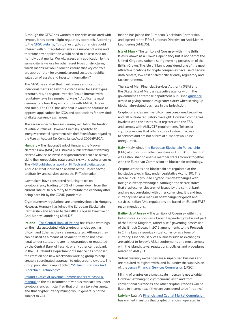Although the GFSC has warned of the risks associated with cryptos, it has taken a light regulatory approach. According to the [GFSC website](https://www.gfsc.gg/faqs-0), "Virtual or crypto currencies could interact with our regulatory laws in a number of ways and therefore any application would need to be assessed on its individual merits. We will assess any application by the same criteria we use for other asset types or structures, which means we would look to ensure that key controls are appropriate - for example around custody, liquidity, valuation of assets and investor information."

The GFSC has stated that it will assess applications on individual merits against the criteria used for asset types or structures, as cryptocurrencies "could interact with regulatory laws in a number of ways." Applicants must demonstrate how they will comply with AML/CTF laws and rules. The GFSC has also said it would be cautious to approve applications for ICOs and applications for any kinds of digital currency exchanges.

There are no specific laws in Guernsey regulating the taxation of virtual currencies. However, Guernsey is party to an intergovernmental agreement with the United States regarding the Foreign Account Tax Compliance Act of 2009 (FATCA).

**Hungary –** The National Bank of Hungary, the Magyar Nemzeti Bank (MNB) has issued a public statement warning citizens who use or invest in cryptocurrencies such as bitcoin, citing their unregulated nature and risks with cryptocurrencies. The [MNB published a report on FinTech and digitalization](http://www.mnb.hu/letoltes/fintech-es-digitalizacios-jelente-s-final-eng.pdf) in April 2020 that included an analysis of the FinTech sector, profitability, and services across the FinTech market.

Lawmakers have considered reducing taxes on cryptocurrency trading to 15% of income, down from the current rate of 30.5% to try to stimulate the economy after being hard hit by the COVID pandemic.

Cryptocurrency regulations are underdeveloped in Hungary. However, Hungary has joined the European Blockchain Partnership and agreed to the Fifth European Directive on Anti-Money Laundering (AMLD5).

**Ireland –** [The Central Bank of Ireland](https://www.centralbank.ie/consumer-hub/consumer-notices/consumer-warning-on-virtual-currencies) has issued warnings on the risks associated with cryptocurrencies such as bitcoin and Ether as they are unregulated. Although they can be used as a means of payment, they do not have legal tender status, and are not guaranteed or regulated by the Central Bank of Ireland, or any other central bank in the EU. Ireland's Department of Finance has proposed the creation of a new blockchain working group to help create a coordinated approach to rules around cryptos. The group published a report titled, ["Virtual Currencies And](http://www.finance.gov.ie/wp-content/uploads/2018/03/Virtual-Currencies-and-Blockchain-Technology-March-2018.pdf)  [Blockchain Technology](http://www.finance.gov.ie/wp-content/uploads/2018/03/Virtual-Currencies-and-Blockchain-Technology-March-2018.pdf)."

[Ireland's Office of Revenue Commissioners released a](http://Ireland’s Office of Revenue Commissioners released a manual )  [manual](http://Ireland’s Office of Revenue Commissioners released a manual ) on the tax treatment of various transactions under cryptocurrencies. It clarified that ordinary tax rules apply, and that cryptocurrency mining would generally not be subject to VAT.

Ireland has joined the European Blockchain Partnership and agreed to the Fifth European Directive on Anti-Money Laundering (AMLD5).

**Isle of Man –** The territory of Guernsey within the British Isles is known as a Crown Dependency but is not part of the United Kingdom, rather a self-governing possession of the British Crown. The Isle of Man is considered one of the most attractive locations for crypto companies because of secure data centers, low cost of electricity, friendly regulatory and tax environment.

The Isle of Man Financial Services Authority (FSA) and the Digital Isle of Man, an executive agency within the government's enterprise department published [guidance](https://www.iomfsa.im/media/2720/regulatory-perimeter-for-tokens.pdf) aimed at giving companies greater clarity when setting up blockchain-related business in the jurisdiction.

Cryptocurrencies such as bitcoin are considered securities and fall outside regulatory oversight. However, companies involved with the assets must register with the FSA and comply with AML/CTF requirements. Tokens or cryptocurrencies that offer a store of value or access to services and are not a form of e-money would be unregulated.

**Italy –** Italy joined the European Blockchain Partnership (EBP) along with 22 other countries in April 2018. The EBP was established to enable member states to work together with the European Commission on blockchain technology.

Cryptocurrencies and blockchain are regulated at the legislative level in Italy under Legislative Act no. 90. The decree in 2017 grouped cryptocurrency exchanges with foreign currency exchanges. Although the decree states that cryptocurrencies are not issued by the central bank and are not correlated with other currencies, it is a virtual currency used as a medium of exchange for goods and services. Italian AML regulations are based on EU and FATF recommendations.

**Bailiwick of Jersey –** The territory of Guernsey within the British Isles is known as a Crown Dependency but is not part of the United Kingdom, rather a self-governing possession of the British Crown. In 2016 amendments to the Proceeds in Crime Law categorize virtual currency as a form of currency. Financial services business such as exchanges are subject to Jersey's AML requirements and must comply with the island's laws, regulations, policies and procedures related to AML/CTF.

Virtual currency exchanges are a supervised business and are required to register with, and fall under the supervision of, the [Jersey Financial Services Commission](https://www.jerseyfsc.org/) (JFSC).

Mining of cryptos on a small scale in Jersey is not taxable. However, exchanging cryptocurrencies to and from conventional currencies and other cryptocurrencies will be liable to income tax, if they are considered to be "trading."

**Latvia –** Latvia's [Financial and Capital Market Commission](https://www.fktk.lv/en/)  has warned investors that cryptocurrencies "operated in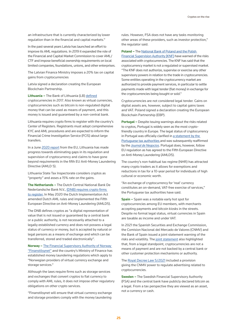an infrastructure that is currently characterized by lower regulation than in the financial and capital markets."

In the past several years Latvia has launched an effort to improve its AML regulations. In 2019 it expanded the role of the Financial and Capital Market Commission to cover AML/ CTF and impose beneficial ownership requirements on local limited companies, foundations, unions, and other enterprises.

The Latvian Finance Ministry imposes a 20% tax on capital gains from cryptocurrencies

Latvia signed a declaration creating the European Blockchain Partnership.

**Lithuania –** The Bank of Lithuania (LB) [defined](https://www.lb.lt/uploads/documents/files/Pozicijos del virtualiu valiutu ir VV zetonu platinimo EN.pdf) cryptocurrencies in 2017. Also known as virtual currencies, cryptocurrencies such as bitcoin is non-regulated digital money that can be used as means of payment, and this money is issued and guaranteed by a non-central bank.

Lithuania requires crypto firms to register with the country's Center of Registers. Registrants must adopt comprehensive KYC and AML procedures and are expected to inform the Financial Crime Investigation Service (FCIS) about large transfers.

In a June [2020 report](https://www.fatf-gafi.org/media/fatf/documents/reports/fur/Moneyval-1st-Follow-Up-Report-Lithuania.pdf) from the EU, Lithuania has made progress towards eliminating gaps in its regulation and supervision of cryptocurrency and claims to have gone beyond requirements in the fifth EU Anti-Money Laundering Directive (AMLD 5).

Lithuania State Tax Inspectorate considers cryptos as "property" and asses a 15% rate on the gains.

**The Netherlands –** The Dutch Central National Bank De Nederlandsche Bank N.V., [\(DNB\) requires crypto firms](https://www.dnb.nl/en/sector-information/supervision-sectors/crypto-service-providers/registration-of-crypto-service-providers/)  [to register.](https://www.dnb.nl/en/sector-information/supervision-sectors/crypto-service-providers/registration-of-crypto-service-providers/) In May 2020 the Dutch Implementation Act amended Dutch AML rules and implemented the Fifth European Directive on Anti-Money Laundering (AMLD5).

The DNB defines cryptos as "a digital representation of value that is not issued or guaranteed by a central bank or a public authority, is not necessarily attached to a legally established currency and does not possess a legal status of currency or money, but is accepted by natural or legal persons as a means of exchange and which can be transferred, stored and traded electronically".

**Norway –** [The Financial Supervisory Authority of Norway](https://www.finanstilsynet.no/en/)  ["Finanstilsynet"](https://www.finanstilsynet.no/en/) and the country's Ministry of Finance has established money laundering regulations which apply to "Norwegian providers of virtual currency exchange and storage services."

Although the laws require firms such as storage services and exchanges that convert cryptos to fiat currency to comply with AML rules, it does not impose other regulatory obligations on other crypto services.

"Finanstilsynet will ensure that virtual currency exchange and storage providers comply with the money laundering

rules. However, FSA does not have any tasks monitoring other areas of these providers, such as investor protection," the regulator said.

**Poland –** The [National Bank of Poland and the Polish](https://www.knf.gov.pl/en/news?articleId=71711&p_id=19#:~:text=In%20the%20light%20of%20the,to%2C%20the%20trade%20in%20cryptocurrencies.) 

[Financial Supervision Authority \(KNF\)](https://www.knf.gov.pl/en/news?articleId=71711&p_id=19#:~:text=In%20the%20light%20of%20the,to%2C%20the%20trade%20in%20cryptocurrencies.) have warned of the risks associated with cryptocurrencies. The KNF has said that the cryptocurrency market is not a regulated or supervised market. "The KNF does not authorize, supervise or exercise any other supervisory powers in relation to the trade in cryptocurrencies. Some entities operating in the cryptocurrency market are authorized to provide payment services, in particular to settle payments made with legal tender (fiat money) in exchange for the cryptocurrencies being bought or sold."

Cryptocurrencies are not considered legal tender. Gains on digital assets are, however, subject to capital gains taxes and VAT. Poland signed a declaration creating the European Blockchain Partnership (EBP).

**Portugal –** Despite issuing warnings about the risks related to cryptos, Portugal is widely seen as the most cryptofriendly country in Europe. The legal status of cryptocurrency in Portugal was officially clarified in [a statement by the](https://www.audico.pt/wp-content/uploads/2019/08/57_INFORMACAO_14436.pdf)  [Portuguese tax authorities a](https://www.audico.pt/wp-content/uploads/2019/08/57_INFORMACAO_14436.pdf)nd was subsequently reaffirmed by the *[Journal de Negocios](http://Journal de Negocios)*. Portugal does, however, follow EU regulation as has agreed to the Fifth European Directive on Anti-Money Laundering (AMLD5).

The country's non-habitual tax regime (NHR) has attracted many crypto traders as it allows for exemptions and reductions in tax for a 10-year period for individuals of high cultural or economic worth.

"An exchange of cryptocurrency for 'real' currency constitutes an on-demand, VAT-free exercise of services," the Portuguese tax authorities have said.

**Spain –** Spain was a notable early hot spot for cryptocurrencies among EU members, with merchants accepting payments and bitcoin kiosks in the streets. Despite no formal legal status, virtual currencies in Spain are taxable as income and under VAT.

In 2021 the Spanish Securities and Exchange Commission, the Comision Nacional del Mercado de Valores (CNMV) and the Bank of Spain issued a joint statement warning of the risks and volatility. The [joint statement](https://www.cnmv.es/portal/verDoc.axd?t=%7B52286f9f-c592-4418-9559-b75bf97115d2%7D) also highlighted that, from a legal standpoint, cryptocurrencies are not a means of payment and are not backed by a central bank or other customer protection mechanisms or authority.

The [Royal Decree Law 5/2021](https://www.boe.es/buscar/act.php?id=BOE-A-2021-3946) included a provision giving the CNMV power to regulate advertising related to cryptocurrencies.

**Sweden –** The Swedish Financial Supervisory Authority (FSA) and the central bank have publicly declared bitcoin as a legal. From a tax perspective they are viewed as an asset, not a currency or cash.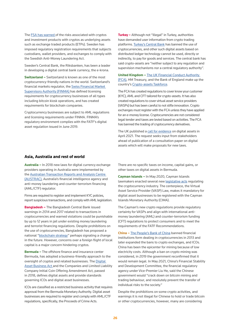The [FSA has warned](https://www.fi.se/en/published/press-releases/2021/fi-warns-consumers-of-risks-connected-to-crypto-asset-products/) of the risks associated with cryptos and investment products with cryptos as underlying assets such as exchange traded products (ETPs). Sweden has imposed regulatory registration requirements that subjects custodians, wallet providers, and exchanges to comply with the Swedish Anti-Money Laundering Act.

Sweden's Central Bank, the Riksbanken, has been a leader in developing a digital central bank currency, the e-krona.

**Switzerland –** Switzerland is known as one of the most cryptocurrency-friendly nations in the world. Switzerland's financial markets regulator, the [Swiss Financial Market](http://Swiss Financial Markehttps://www.finma.ch/en/~/media/finma/dokumente/dokumentencenter/myfinma/faktenblaetter/faktenblatt-virtuelle-waehrungen.pdf?la=ent Supervisory Authority (FINMA) )  [Supervisory Authority \(FINMA\) h](http://Swiss Financial Markehttps://www.finma.ch/en/~/media/finma/dokumente/dokumentencenter/myfinma/faktenblaetter/faktenblatt-virtuelle-waehrungen.pdf?la=ent Supervisory Authority (FINMA) )as defined licensing requirements for cryptocurrency businesses of all types including bitcoin kiosk operations, and has created requirements for blockchain companies.

Cryptocurrency businesses are subject to AML regulations and licensing requirements under FINMA. FINMA's regulatory environment complies with the FATF's digital asset regulation issued in June 2019.

**Turkey –** Although not "illegal" in Turkey, authorities have demanded user information from crypto trading platforms. [Turkey's Central Bank](http://Turkey’s Central Bank) has banned the use of cryptocurrencies, and other such digital assets based on distributed ledger technology cannot be used, directly or indirectly, to pay for goods and services. The central bank has said crypto-assets are "neither subject to any regulation and supervision mechanisms nor a central regulatory authority".

**United Kingdom –** [The UK Financial Conduct Authority](https://www.fca.org.uk/news/press-releases/fca-provides-clarity-current-cryptoassets-regulation)  [\(FCA\),](https://www.fca.org.uk/news/press-releases/fca-provides-clarity-current-cryptoassets-regulation) HM Treasury, and the Bank of England make up the country's [Crypto-assets Taskforce.](https://www.fca.org.uk/firms/cryptoassets#:~:text=The%20UK%20Cryptoasset%20Taskforce&text=The%20objective%20of%20the%20Taskforce,to%20consider%20appropriate%20policy%20responses.)

The FCA has created regulations to cover know your customer (KYC), AML and CFT tailored for crypto-assets. It has also created regulations to cover virtual asset service providers (VASPs) but has been careful to not stifle innovation. Crypto exchanges must register with the FCA unless they have applied for an e-money license. Cryptocurrencies are not considered legal tender and taxes are levied based on activities. The FCA has banned the trading of cryptocurrency derivatives.

The UK published a [call for evidence](https://www.lawcom.gov.uk/project/digital-assets/#digital-assets-call-for-evidence) on digital assets in April 2021. The request seeks input from stakeholders ahead of publication of a consultation paper on digital assets which will make proposals for new laws.

#### **Asia, Australia and rest of world**

**Australia –** In 2018 new laws for digital currency exchange providers operating in Australia were implemented by the [Australian Transaction Reports and Analysis Centre](https://www.austrac.gov.au/new-australian-laws-regulate-cryptocurrency-providers)  [\(AUSTRAC\),](https://www.austrac.gov.au/new-australian-laws-regulate-cryptocurrency-providers) Australia's financial intelligence agency and anti-money laundering and counter-terrorism financing (AML/CTF) regulator.

Firms are required to register and implement KYC policies, report suspicious transactions, and comply with AML legislation.

**Bangladesh –** The Bangladesh Central Bank issued warnings in 2014 and 2017 related to transactions in cryptocurrencies and warned violations could be punishable by up to 12 years in jail under existing money laundering and terrorist financing regulations. Despite prohibitions on the use of cryptocurrencies, Bangladesh has proposed a national ["blockchain strategy"](https://bcc.portal.gov.bd/sites/default/files/files/bcc.portal.gov.bd/page/bdb0a706_e674_4a40_a8a8_7cfccf7e9d9b/2020-10-19-15-03-391a6d9d1eb062836b440256cee34935.pdf) perhaps signaling a change in the future. However, concerns over a foreign flight of local capital is a major concern hindering cryptos.

**Bermuda –** The offshore finance and insurance center Bermuda, has adopted a business-friendly approach to the oversight of cryptos and related businesses. The Digital [Asset Business Act a](https://www.bma.bm/digital-assets-supervision-regulation#:~:text=The%20Digital%20Asset%20Business%20Act,Business%20(DAB)%20in%20Bermuda.&text=issuing%2C%20selling%20or%20redeeming%20virtual,provider%20business%20utilising%20digital%20assets)nd the Companies and Limited Liability Company Initial Coin Offering Amendment Act, passed in 2018, defines digital assets and provide standards governing ICOs and digital asset businesses.

ICOs are classified as a restricted business activity that requires approval from the Bermuda Monetary Authority. Digital asset businesses are required to register and comply with AML/CTF regulations, specifically, the Proceeds of Crime Acts.

There are no specific taxes on income, capital gains, or other taxes on digital assets in Bermuda.

**Cayman Islands –** In May 2020, Cayman Islands lawmakers enacted several new [legislative acts](https://www.cfatf-gafic.org/home/what-s-happening/649-cayman-islands-adopts-regulatory-framework-for-virtual-asset-services) regulating the cryptocurrency industry. The centerpiece, the Virtual Asset Service Provider (VASP) Law, makes it mandatory for digital asset businesses to be registered with the Cayman Islands Monetary Authority (CIMA).

The Cayman's new crypto regulations provide regulatory certainty for VASPs and align with international antimoney laundering (AML) and counter-terrorism funding (CFT) regulations to protect consumers and to meet the requirements of the FATF Recommendations.

**China –** [The People's Bank of China](http://www.pbc.gov.cn/english/130437/index.html) banned financial institutions form dealing in cryptocurrencies in 2013 and later expanded the bans to crypto exchanges, and ICOs. China has been the epicenter for mining because of low electricity costs. Although a ban on crypto mining was considered, in 2019 the government reconfirmed that it would remain legal. In May 2021, China's Financial Stability and Development Committee, the financial regulatory agency under Vice-Premier Liu He, said the Chinese government would "crack down on bitcoin mining and trading behaviour, and resolutely prevent the transfer of individual risks to the society."

Despite the prohibitions on some crypto activities, and warnings it is not illegal for Chinese to hold or trade bitcoin or other cryptocurrencies, however, many are considering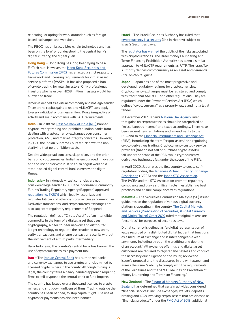relocating, or opting for work arounds such as foreignbased exchanges and websites.

The PBOC has embraced blockchain technology and has been on the forefront of developing the central bank's digital currency, the digital yuan.

**Hong Kong –** Hong Kong has long been vying to be a FinTech hub. However, the [Hong Kong Securities and](https://apps.sfc.hk/edistributionWeb/gateway/EN/news-and-announcements/news/doc?refNo=19PR105)  [Futures Commission \(SFC\)](https://apps.sfc.hk/edistributionWeb/gateway/EN/news-and-announcements/news/doc?refNo=19PR105) has enacted a strict regulatory framework and licensing requirements for virtual asset service platforms (VASPs). It has also proposed a ban of crypto trading for retail investors. Only professional investors who have over HK\$8 million in assets would be allowed to trade.

Bitcoin is defined as a virtual commodity and not legal tender. There are no capital gains taxes and AML/CFT laws apply to every individual or business in Hong Kong, irrespective of activity and are in accordance with FATF requirements.

India - In 2018 the [Reserve Bank of India \(RBI\)](https://www.rbi.org.in/) banned cryptocurrency trading and prohibited Indian banks from dealing with cryptocurrency exchanges over consumer protection, AML, and market integrity concerns. However, in 2020 the Indian Supreme Court struck down the ban clarifying that no prohibition exists.

Despite widespread concerns, skepticism, and the prior bans on cryptocurrencies, India has encouraged innovation and the use of blockchain. It has also begun work on a state-backed digital central bank currency, the digital Rupee.

**Indonesia –** In Indonesia virtual currencies are not considered legal tender. In 2019 the Indonesian Commodity Futures Trading Regulatory Agency (Bappebti) approved [regulation no. 5/2019](http://bappebti.go.id/resources/docs/peraturan/sk_kep_kepala_bappebti/sk_kep_kepala_bappebti_2019_02_01_w9i365pf_id.pdf) which legally recognizes and regulates bitcoin and other cryptocurrencies as commodities. Derivative transactions, and cryptocurrency exchanges are also subject to regulatory requirements of Bappebti.

The regulation defines a "Crypto Asset" as "an intangible commodity in the form of a digital asset that uses cryptography, a peer-to-peer network and distributedledger technology to regulate the creation of new units, verify transactions and ensure transaction security without the involvement of a third party intermediary."

Bank Indonesia, the country's central bank has banned the use of cryptocurrencies as a payment tool.

**Iran - The [Iranian Central Bank](https://www.cbi.ir/default_en.aspx) has authorized banks** and currency exchanges to use cryptocurrencies mined by licensed crypto miners in the county. Although mining is legal, the country takes a heavy-handed approach requiring firms to sell cryptos to the central bank to fund imports.

The country has issued over a thousand licenses to crypto miners and shut down unlicensed firms. Trading outside the country has been banned, to stop capital flight. The use of cryptos for payments has also been banned.

**Israel –** The Israeli Securities Authority has ruled that [cryptocurrency is a security](https://www.isa.gov.il/%d7%92%d7%95%d7%a4%d7%99%d7%9d %d7%9e%d7%a4%d7%95%d7%a7%d7%97%d7%99%d7%9d/Corporations/Staf_Positions/Preliminary_Inquiries/Prospectuses/Documents/T3121.pdf) (link in Hebrew) subject to Israel's Securities Laws.

The [regulator has warned](https://www.isa.gov.il/sites/ISAEng/Pages/unregulated-investments.aspx) the public of the risks associated with cryptocurrencies. The Israel Money Laundering and Terror Financing Prohibition Authority has taken a similar approach to AML/CTF requirements as FATF. The Israel Tax Authority defines cryptocurrency as an asset and demands 25% on capital gains.

**Japan –** Japan has one of the most progressive and developed regulatory regimes for cryptocurrencies. Cryptocurrency exchanges must be registered and comply with traditional AML/CFT and other regulations. They are regulated under the Payment Services Act (PSA) which defines "cryptocurrency" as a property value and not a legal tender.

In December 2017, Japan's [National Tax Agency](https://www.nta.go.jp/english/) ruled that gains on cryptocurrencies should be categorized as "miscellaneous income" and taxed accordingly. There have been several new regulations and amendments to the PSA and to the [Financial Instruments and Exchange Act](https://www.fsa.go.jp/en/policy/fiel/) (FIEA), introducing the term "crypto-asset," and regulating crypto derivatives trading. Cryptocurrency custody service providers (that do not sell or purchase crypto-assets) fall under the scope of the PSA, while cryptocurrency derivatives businesses fall under the scope of the FIEA.

In April 2020, Japan was the first country to create selfregulatory bodies, the [Japanese Virtual Currency Exchange](https://cointelegraph.com/news/japan-finally-gets-self-regulatory-body-for-cryptocurrency-exchanges)  [Association](https://cointelegraph.com/news/japan-finally-gets-self-regulatory-body-for-cryptocurrency-exchanges) (JVCEA) and the [Japan STO Association.](https://www.fsa.go.jp/news/r1/shouken/20200430.html) The JVCEA and the STO Association promote regulatory compliance and play a significant role in establishing best practices and ensure compliance with regulations.

**Malaysia –** The Securities Commission Malaysia (SC) issued guidelines on the regulation of various digital currency platforms operating in the country. The Capital Markets [and Services \(Prescription of Securities\) \(Digital Currency](https://www.sc.com.my/api/documentms/download.ashx?id=8c8bc467-c750-466e-9a86-98c12fec4a77)  [and Digital Token\) Order 2019](https://www.sc.com.my/api/documentms/download.ashx?id=8c8bc467-c750-466e-9a86-98c12fec4a77) ruled that digital tokens are "securities" for purposes of securities laws.

Digital currency is defined as "a digital representation of value recorded on a distributed digital ledger that functions as a medium of exchange and is interchangeable with any money including through the crediting and debiting of an account." All exchange offerings and digital asset custodians are required to register and "assess and conduct the necessary due diligence on the issuer, review the issuer's proposal and the disclosures in the whitepaper, and assess the issuer's ability to comply with the requirements of the Guidelines and the SC's Guidelines on Prevention of Money Laundering and Terrorism Financing."

**New Zealand –** The [Financial Markets Authority of New](https://www.fma.govt.nz/compliance/cryptocurrencies/)  [Zealand](https://www.fma.govt.nz/compliance/cryptocurrencies/) has determined that certain activities considered "financial services" include exchanges, wallets, deposits, broking and ICOs involving crypto-assets that are classed as "financial products" under the [FMC Act of 2013,](http://www.legislation.govt.nz/act/public/2013/0069/latest/DLM4090578.html) additional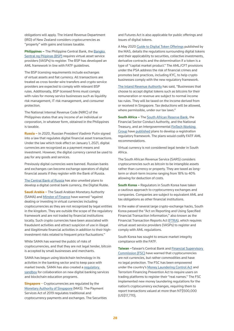obligations will apply. The Inland Revenue Department (IRD) of New Zealand considers cryptocurrencies as "property" with gains and losses taxable.

**Philippines –** The Philippine Central Bank, the Bangko [Sentral ng Pilipinas \(BSP\)](https://www.bsp.gov.ph/Media_and_Research/Primers Faqs/VC.pdf) requires virtual asset service providers (VASPs) to register. The BSP has developed an AML framework in line with FATF guidelines.

The BSP licensing requirements include exchanges of virtual assets and fiat currency. All transactions are treated as cross-border wire transfers and crypto service providers are expected to comply with relevant BSP rules. Additionally, BSP licensed firms must comply with rules for money service businesses such as liquidity risk management, IT risk management, and consumer protection.

The National Internal Revenue Code (NIRC) of the Philippines states that any income of an individual or corporation, in whatever form, obtained in the Philippines is taxable.

**Russia –** In 2020, Russian President Vladimir Putin signed into a law that regulates digital financial asset transactions. Under the law which took effect on January 1, 2021, digital currencies are recognized as a payment means and investment. However, the digital currency cannot be used to pay for any goods and services.

Previously digital currencies were banned. Russian banks and exchanges can become exchange operators of digital financial assets if they register with the Bank of Russia.

[The Central Bank of Russia](https://www.cbr.ru/press/event/?id=9761) has also unveiled plans to develop a digital central bank currency, the Digital Ruble.

**Saudi Arabia –** The Saudi Arabian Monetary Authority (SAMA) and [Minster of Finance](https://www.sama.gov.sa/en-US/News/Pages/news21082019.aspx) have warned "against dealing or investing in virtual currencies including cryptocurrencies as they are not recognized by legal entities in the kingdom. They are outside the scope of the regulatory framework and are not traded by financial institutions locally. Such crypto currencies have been associated with fraudulent activities and attract suspicion of use in illegal and illegitimate financial activities in addition to their highinvestment risks related to frequent price fluctuations."

While SAMA has warned the public of risks of cryptocurrencies, and that they are not legal tender, bitcoin is accepted by small businesses and merchants.

SAMA has begun using blockchain technology in its activities in the banking sector and to keep pace with market trends. SAMA has also created a regulatory [sandbox](https://www.sama.gov.sa/en-us/news/pages/news-575.aspx) for collaboration on new digital banking services and blockchain education programs.

**Singapore** – Cryptocurrencies are regulated by the [Monetary Authority of Singapore](https://www.mas.gov.sg/regulation/acts/payment-services-act) (MAS). The Payment Services Act of 2019 regulates traditional and cryptocurrency payments and exchanges. The Securities

and Futures Act is also applicable for public offerings and issues of digital tokens.

A May 2020 [Guide to Digital Token Offerings](https://www.mas.gov.sg/regulation/explainers/a-guide-to-digital-token-offerings) published by the MAS, details the regulations surrounding digital tokens and their applicability to securities, collective investments, derivative contracts and the determination if a token is a type of "capital market product." The AML/CFT provisions under the PSA address the risk of financial crimes and promotes best practices, including KYC, to help crypto businesses comply with the new regulatory framework.

[The Inland Revenue Authority](https://www.iras.gov.sg/irashome/Businesses/Companies/Working-out-Corporate-Income-Taxes/Specific-topics/Income-Tax-Treatment-of-Digital-Tokens/#:~:text=Trading%20in%20Digital%20Tokens,-Businesses%20that%20buy&text=Businesses%20that%20buy%20digital%20tokens,are%20not%20subject%20to%20tax.) has said, "Businesses that choose to accept digital tokens such as bitcoins for their remuneration or revenue are subject to normal income tax rules. They will be taxed on the income derived from or received in Singapore. Tax deductions will be allowed, where permissible, under our tax laws."

**South Africa –** The [South African Reserve Bank,](https://www.resbank.co.za/en/home/quick-links/frequently-asked-questions) the Financial Sector Conduct Authority, and the National Treasury, and an Intergovernmental [FinTech Working](https://www.ifwg.co.za/regulatory-guidance-unit/)  [Group](https://www.ifwg.co.za/regulatory-guidance-unit/) have [published](https://www.ifwg.co.za/wp-content/uploads/IFWG_CAR_WG-Position_Paper_on_Crypto_Assets.pdf) plans to develop a registration regulatory framework. The plans would codify FATF AML recommendations.

Virtual currency is not considered legal tender in South Africa.

The South African Revenue Service (SARS) considers cryptocurrencies such as bitcoin to be intangible assets rather than currency or property. They are taxed as longterm or short-term income ranging from 18% to 40% allowing for deduction of costs.

**South Korea –** Regulators in South Korea have taken a cautious approach to cryptocurrency exchanges and companies. Companies are subject to equivalent AML and tax obligations as other financial institutions.

In the wake of several large crypto-exchange hacks, South Korea passed the "Act on Reporting and Using Specified Financial Transaction Information," also known as the Financial Transaction Reports Act ([FTRA\)](https://www.kofiu.go.kr/eng/legislation/financial.do#:~:text=The%20Financial%20Transaction%20Reports%20Act,%2Fanalysis%2Fdissemination%20of%20STRs.), which requires virtual asset service providers (VASPs) to register and comply with AML regulations.

South Korea has sought to ensure market integrity compliance with the FATF.

**Taiwan –**Taiwan's Central Bank and [Financial Supervisory](https://www.fsc.gov.tw/ch/home.jsp?id=96&parentpath=0,2&mcustomize=news_view.jsp&dataserno=202104200003&dtable=News)  [Commission \(FSC\)](https://www.fsc.gov.tw/ch/home.jsp?id=96&parentpath=0,2&mcustomize=news_view.jsp&dataserno=202104200003&dtable=News) have warned that cryptocurrencies are not currencies, but rather commodities and have no legal protection. The FSC has been empowered under the country's [Money Laundering Control Act](https://law.moj.gov.tw/ENG/LawClass/LawAll.aspx?pcode=G0380131) and Terrorism Financing Prevention Act to require users on trading platforms to register their "real names." The FSC implemented new money laundering regulations for the nation's cryptocurrency exchanges, requiring them to report transactions valued at more than NT\$500,000 (US\$17,770),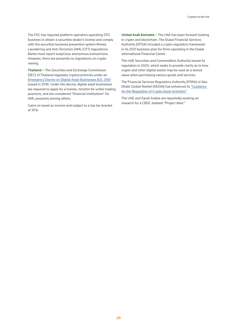The FSC has required platform operators operating STO business to obtain a securities dealer's license and comply with the securities business prevention system Money Laundering and Anti-Terrorism (AML/CFT) regulations. Banks must report suspicious anonymous transactions. However, there are presently no regulations on crypto mining.

**Thailand –** The Securities and Exchange Commission (SEC) of Thailand regulates cryptocurrencies under an [Emergency Decree on Digital Asset Businesses B.E. 2561](https://www.sec.or.th/TH/Documents/DigitalAsset/enactment_digital_2561_summary_en.pdf) issued in 2018. Under the decree, digital asset businesses are required to apply for a license, monitor for unfair trading practices, and are considered "financial institutions" for AML purposes among others.

Gains on taxed as income and subject to a top tax bracket of 35%.

**United Arab Emirates –** The UAE has been forward-looking in crypto and blockchain. The Dubai Financial Services Authority (DFSA) included a crypto regulatory framework in its 2021 business plan for firms operating in the Dubai International Financial Center.

The UAE Securities and Commodities Authority issued its regulation in 2020, which seeks to provide clarity as to how crypto and other digital assets may be used as a stored value when purchasing various goods and services.

The Financial Services Regulatory Authority (FSRA) of Abu Dhabi Global Market (ADGM) has enhanced its ["Guidance](https://www.adgm.com/media/announcements/adgm-enhances-guidance-on-regulation-of-crypto-asset-activities)  [for the Regulation of Crypto Asset Activities"](https://www.adgm.com/media/announcements/adgm-enhances-guidance-on-regulation-of-crypto-asset-activities)

The UAE and Saudi Arabia are reportedly working on research for a CBDC dubbed "Project Aber."